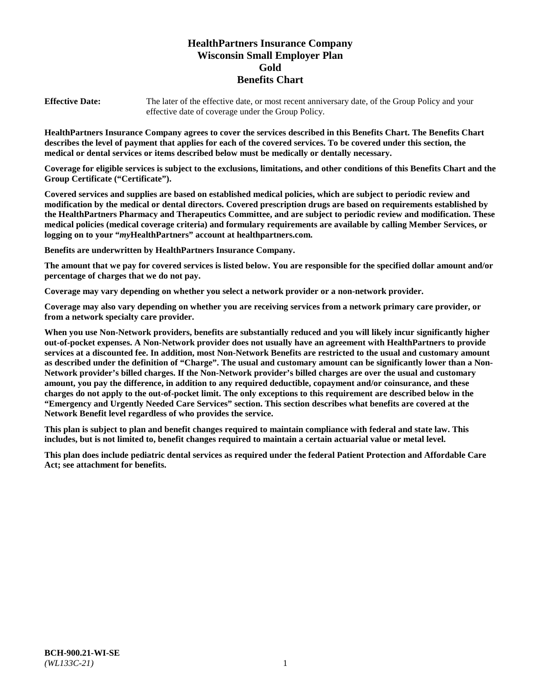# **HealthPartners Insurance Company Wisconsin Small Employer Plan Gold Benefits Chart**

**Effective Date:** The later of the effective date, or most recent anniversary date, of the Group Policy and your effective date of coverage under the Group Policy.

**HealthPartners Insurance Company agrees to cover the services described in this Benefits Chart. The Benefits Chart describes the level of payment that applies for each of the covered services. To be covered under this section, the medical or dental services or items described below must be medically or dentally necessary.**

**Coverage for eligible services is subject to the exclusions, limitations, and other conditions of this Benefits Chart and the Group Certificate ("Certificate").**

**Covered services and supplies are based on established medical policies, which are subject to periodic review and modification by the medical or dental directors. Covered prescription drugs are based on requirements established by the HealthPartners Pharmacy and Therapeutics Committee, and are subject to periodic review and modification. These medical policies (medical coverage criteria) and formulary requirements are available by calling Member Services, or logging on to your "***my***HealthPartners" account at [healthpartners.com.](https://www.healthpartners.com/hp/index.html)**

**Benefits are underwritten by HealthPartners Insurance Company.**

**The amount that we pay for covered services is listed below. You are responsible for the specified dollar amount and/or percentage of charges that we do not pay.**

**Coverage may vary depending on whether you select a network provider or a non-network provider.**

**Coverage may also vary depending on whether you are receiving services from a network primary care provider, or from a network specialty care provider.**

**When you use Non-Network providers, benefits are substantially reduced and you will likely incur significantly higher out-of-pocket expenses. A Non-Network provider does not usually have an agreement with HealthPartners to provide services at a discounted fee. In addition, most Non-Network Benefits are restricted to the usual and customary amount as described under the definition of "Charge". The usual and customary amount can be significantly lower than a Non-Network provider's billed charges. If the Non-Network provider's billed charges are over the usual and customary amount, you pay the difference, in addition to any required deductible, copayment and/or coinsurance, and these charges do not apply to the out-of-pocket limit. The only exceptions to this requirement are described below in the "Emergency and Urgently Needed Care Services" section. This section describes what benefits are covered at the Network Benefit level regardless of who provides the service.**

**This plan is subject to plan and benefit changes required to maintain compliance with federal and state law. This includes, but is not limited to, benefit changes required to maintain a certain actuarial value or metal level.**

**This plan does include pediatric dental services as required under the federal Patient Protection and Affordable Care Act; see attachment for benefits.**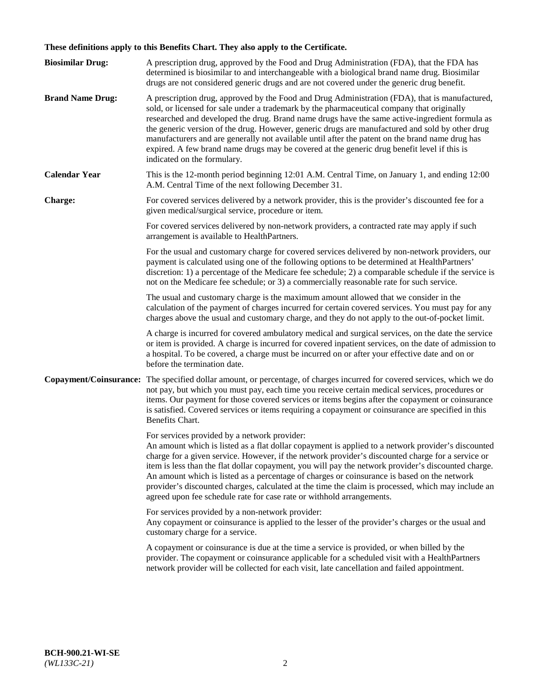# **These definitions apply to this Benefits Chart. They also apply to the Certificate.**

| <b>Biosimilar Drug:</b> | A prescription drug, approved by the Food and Drug Administration (FDA), that the FDA has<br>determined is biosimilar to and interchangeable with a biological brand name drug. Biosimilar<br>drugs are not considered generic drugs and are not covered under the generic drug benefit.                                                                                                                                                                                                                                                                                                                                                     |
|-------------------------|----------------------------------------------------------------------------------------------------------------------------------------------------------------------------------------------------------------------------------------------------------------------------------------------------------------------------------------------------------------------------------------------------------------------------------------------------------------------------------------------------------------------------------------------------------------------------------------------------------------------------------------------|
| <b>Brand Name Drug:</b> | A prescription drug, approved by the Food and Drug Administration (FDA), that is manufactured,<br>sold, or licensed for sale under a trademark by the pharmaceutical company that originally<br>researched and developed the drug. Brand name drugs have the same active-ingredient formula as<br>the generic version of the drug. However, generic drugs are manufactured and sold by other drug<br>manufacturers and are generally not available until after the patent on the brand name drug has<br>expired. A few brand name drugs may be covered at the generic drug benefit level if this is<br>indicated on the formulary.           |
| <b>Calendar Year</b>    | This is the 12-month period beginning 12:01 A.M. Central Time, on January 1, and ending 12:00<br>A.M. Central Time of the next following December 31.                                                                                                                                                                                                                                                                                                                                                                                                                                                                                        |
| <b>Charge:</b>          | For covered services delivered by a network provider, this is the provider's discounted fee for a<br>given medical/surgical service, procedure or item.                                                                                                                                                                                                                                                                                                                                                                                                                                                                                      |
|                         | For covered services delivered by non-network providers, a contracted rate may apply if such<br>arrangement is available to HealthPartners.                                                                                                                                                                                                                                                                                                                                                                                                                                                                                                  |
|                         | For the usual and customary charge for covered services delivered by non-network providers, our<br>payment is calculated using one of the following options to be determined at HealthPartners'<br>discretion: 1) a percentage of the Medicare fee schedule; 2) a comparable schedule if the service is<br>not on the Medicare fee schedule; or 3) a commercially reasonable rate for such service.                                                                                                                                                                                                                                          |
|                         | The usual and customary charge is the maximum amount allowed that we consider in the<br>calculation of the payment of charges incurred for certain covered services. You must pay for any<br>charges above the usual and customary charge, and they do not apply to the out-of-pocket limit.                                                                                                                                                                                                                                                                                                                                                 |
|                         | A charge is incurred for covered ambulatory medical and surgical services, on the date the service<br>or item is provided. A charge is incurred for covered inpatient services, on the date of admission to<br>a hospital. To be covered, a charge must be incurred on or after your effective date and on or<br>before the termination date.                                                                                                                                                                                                                                                                                                |
| Copayment/Coinsurance:  | The specified dollar amount, or percentage, of charges incurred for covered services, which we do<br>not pay, but which you must pay, each time you receive certain medical services, procedures or<br>items. Our payment for those covered services or items begins after the copayment or coinsurance<br>is satisfied. Covered services or items requiring a copayment or coinsurance are specified in this<br>Benefits Chart.                                                                                                                                                                                                             |
|                         | For services provided by a network provider:<br>An amount which is listed as a flat dollar copayment is applied to a network provider's discounted<br>charge for a given service. However, if the network provider's discounted charge for a service or<br>item is less than the flat dollar copayment, you will pay the network provider's discounted charge.<br>An amount which is listed as a percentage of charges or coinsurance is based on the network<br>provider's discounted charges, calculated at the time the claim is processed, which may include an<br>agreed upon fee schedule rate for case rate or withhold arrangements. |
|                         | For services provided by a non-network provider:<br>Any copayment or coinsurance is applied to the lesser of the provider's charges or the usual and<br>customary charge for a service.                                                                                                                                                                                                                                                                                                                                                                                                                                                      |
|                         | A copayment or coinsurance is due at the time a service is provided, or when billed by the<br>provider. The copayment or coinsurance applicable for a scheduled visit with a HealthPartners<br>network provider will be collected for each visit, late cancellation and failed appointment.                                                                                                                                                                                                                                                                                                                                                  |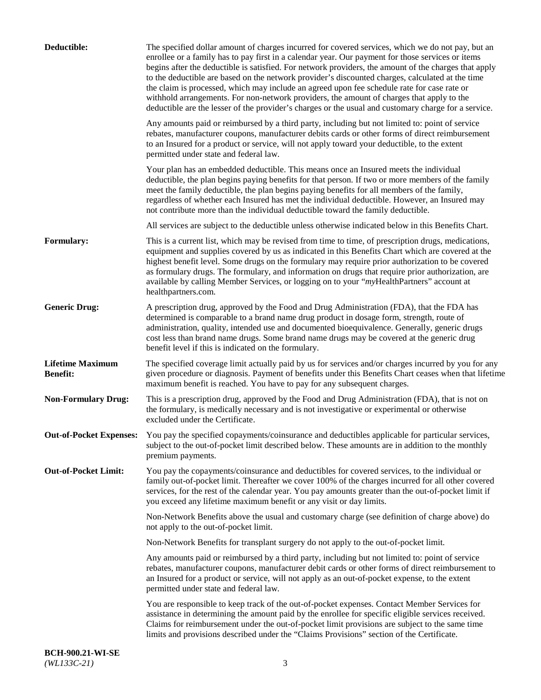| Deductible:                                | The specified dollar amount of charges incurred for covered services, which we do not pay, but an<br>enrollee or a family has to pay first in a calendar year. Our payment for those services or items<br>begins after the deductible is satisfied. For network providers, the amount of the charges that apply<br>to the deductible are based on the network provider's discounted charges, calculated at the time<br>the claim is processed, which may include an agreed upon fee schedule rate for case rate or<br>withhold arrangements. For non-network providers, the amount of charges that apply to the<br>deductible are the lesser of the provider's charges or the usual and customary charge for a service. |
|--------------------------------------------|-------------------------------------------------------------------------------------------------------------------------------------------------------------------------------------------------------------------------------------------------------------------------------------------------------------------------------------------------------------------------------------------------------------------------------------------------------------------------------------------------------------------------------------------------------------------------------------------------------------------------------------------------------------------------------------------------------------------------|
|                                            | Any amounts paid or reimbursed by a third party, including but not limited to: point of service<br>rebates, manufacturer coupons, manufacturer debits cards or other forms of direct reimbursement<br>to an Insured for a product or service, will not apply toward your deductible, to the extent<br>permitted under state and federal law.                                                                                                                                                                                                                                                                                                                                                                            |
|                                            | Your plan has an embedded deductible. This means once an Insured meets the individual<br>deductible, the plan begins paying benefits for that person. If two or more members of the family<br>meet the family deductible, the plan begins paying benefits for all members of the family,<br>regardless of whether each Insured has met the individual deductible. However, an Insured may<br>not contribute more than the individual deductible toward the family deductible.                                                                                                                                                                                                                                           |
|                                            | All services are subject to the deductible unless otherwise indicated below in this Benefits Chart.                                                                                                                                                                                                                                                                                                                                                                                                                                                                                                                                                                                                                     |
| Formulary:                                 | This is a current list, which may be revised from time to time, of prescription drugs, medications,<br>equipment and supplies covered by us as indicated in this Benefits Chart which are covered at the<br>highest benefit level. Some drugs on the formulary may require prior authorization to be covered<br>as formulary drugs. The formulary, and information on drugs that require prior authorization, are<br>available by calling Member Services, or logging on to your "myHealthPartners" account at<br>healthpartners.com.                                                                                                                                                                                   |
| <b>Generic Drug:</b>                       | A prescription drug, approved by the Food and Drug Administration (FDA), that the FDA has<br>determined is comparable to a brand name drug product in dosage form, strength, route of<br>administration, quality, intended use and documented bioequivalence. Generally, generic drugs<br>cost less than brand name drugs. Some brand name drugs may be covered at the generic drug<br>benefit level if this is indicated on the formulary.                                                                                                                                                                                                                                                                             |
| <b>Lifetime Maximum</b><br><b>Benefit:</b> | The specified coverage limit actually paid by us for services and/or charges incurred by you for any<br>given procedure or diagnosis. Payment of benefits under this Benefits Chart ceases when that lifetime<br>maximum benefit is reached. You have to pay for any subsequent charges.                                                                                                                                                                                                                                                                                                                                                                                                                                |
| <b>Non-Formulary Drug:</b>                 | This is a prescription drug, approved by the Food and Drug Administration (FDA), that is not on<br>the formulary, is medically necessary and is not investigative or experimental or otherwise<br>excluded under the Certificate.                                                                                                                                                                                                                                                                                                                                                                                                                                                                                       |
|                                            | Out-of-Pocket Expenses: You pay the specified copayments/coinsurance and deductibles applicable for particular services,<br>subject to the out-of-pocket limit described below. These amounts are in addition to the monthly<br>premium payments.                                                                                                                                                                                                                                                                                                                                                                                                                                                                       |
| <b>Out-of-Pocket Limit:</b>                | You pay the copayments/coinsurance and deductibles for covered services, to the individual or<br>family out-of-pocket limit. Thereafter we cover 100% of the charges incurred for all other covered<br>services, for the rest of the calendar year. You pay amounts greater than the out-of-pocket limit if<br>you exceed any lifetime maximum benefit or any visit or day limits.                                                                                                                                                                                                                                                                                                                                      |
|                                            | Non-Network Benefits above the usual and customary charge (see definition of charge above) do<br>not apply to the out-of-pocket limit.                                                                                                                                                                                                                                                                                                                                                                                                                                                                                                                                                                                  |
|                                            | Non-Network Benefits for transplant surgery do not apply to the out-of-pocket limit.                                                                                                                                                                                                                                                                                                                                                                                                                                                                                                                                                                                                                                    |
|                                            | Any amounts paid or reimbursed by a third party, including but not limited to: point of service<br>rebates, manufacturer coupons, manufacturer debit cards or other forms of direct reimbursement to<br>an Insured for a product or service, will not apply as an out-of-pocket expense, to the extent<br>permitted under state and federal law.                                                                                                                                                                                                                                                                                                                                                                        |
|                                            | You are responsible to keep track of the out-of-pocket expenses. Contact Member Services for<br>assistance in determining the amount paid by the enrollee for specific eligible services received.<br>Claims for reimbursement under the out-of-pocket limit provisions are subject to the same time<br>limits and provisions described under the "Claims Provisions" section of the Certificate.                                                                                                                                                                                                                                                                                                                       |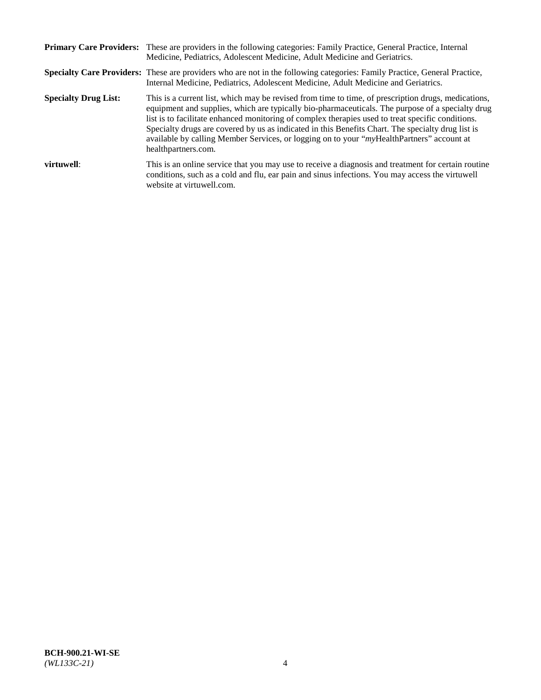|                             | Primary Care Providers: These are providers in the following categories: Family Practice, General Practice, Internal<br>Medicine, Pediatrics, Adolescent Medicine, Adult Medicine and Geriatrics.                                                                                                                                                                                                                                                                                                                                     |
|-----------------------------|---------------------------------------------------------------------------------------------------------------------------------------------------------------------------------------------------------------------------------------------------------------------------------------------------------------------------------------------------------------------------------------------------------------------------------------------------------------------------------------------------------------------------------------|
|                             | <b>Specialty Care Providers:</b> These are providers who are not in the following categories: Family Practice, General Practice,<br>Internal Medicine, Pediatrics, Adolescent Medicine, Adult Medicine and Geriatrics.                                                                                                                                                                                                                                                                                                                |
| <b>Specialty Drug List:</b> | This is a current list, which may be revised from time to time, of prescription drugs, medications,<br>equipment and supplies, which are typically bio-pharmaceuticals. The purpose of a specialty drug<br>list is to facilitate enhanced monitoring of complex therapies used to treat specific conditions.<br>Specialty drugs are covered by us as indicated in this Benefits Chart. The specialty drug list is<br>available by calling Member Services, or logging on to your "myHealthPartners" account at<br>healthpartners.com. |
| virtuwell:                  | This is an online service that you may use to receive a diagnosis and treatment for certain routine<br>conditions, such as a cold and flu, ear pain and sinus infections. You may access the virtuwell<br>website at virtuwell.com.                                                                                                                                                                                                                                                                                                   |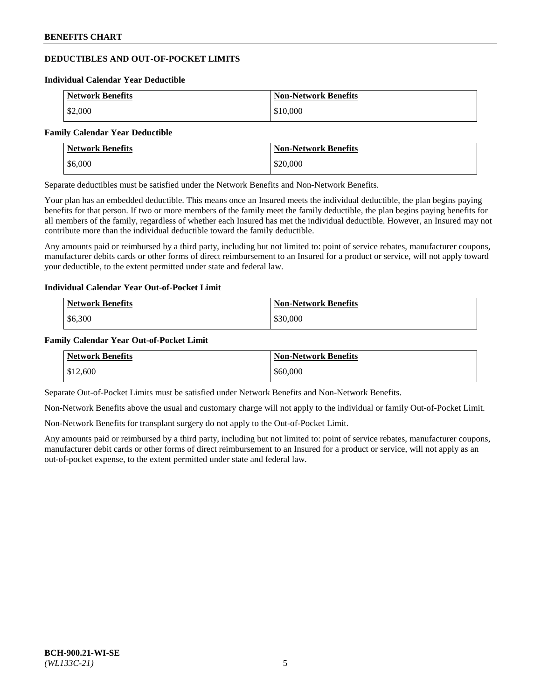# **DEDUCTIBLES AND OUT-OF-POCKET LIMITS**

#### **Individual Calendar Year Deductible**

| <b>Network Benefits</b> | <b>Non-Network Benefits</b> |
|-------------------------|-----------------------------|
| \$2,000                 | \$10,000                    |

#### **Family Calendar Year Deductible**

| <b>Network Benefits</b> | <b>Non-Network Benefits</b> |
|-------------------------|-----------------------------|
| \$6,000                 | \$20,000                    |

Separate deductibles must be satisfied under the Network Benefits and Non-Network Benefits.

Your plan has an embedded deductible. This means once an Insured meets the individual deductible, the plan begins paying benefits for that person. If two or more members of the family meet the family deductible, the plan begins paying benefits for all members of the family, regardless of whether each Insured has met the individual deductible. However, an Insured may not contribute more than the individual deductible toward the family deductible.

Any amounts paid or reimbursed by a third party, including but not limited to: point of service rebates, manufacturer coupons, manufacturer debits cards or other forms of direct reimbursement to an Insured for a product or service, will not apply toward your deductible, to the extent permitted under state and federal law.

# **Individual Calendar Year Out-of-Pocket Limit**

| <b>Network Benefits</b> | <b>Non-Network Benefits</b> |
|-------------------------|-----------------------------|
| \$6,300                 | \$30,000                    |

### **Family Calendar Year Out-of-Pocket Limit**

| <b>Network Benefits</b> | <b>Non-Network Benefits</b> |
|-------------------------|-----------------------------|
| \$12,600                | \$60,000                    |

Separate Out-of-Pocket Limits must be satisfied under Network Benefits and Non-Network Benefits.

Non-Network Benefits above the usual and customary charge will not apply to the individual or family Out-of-Pocket Limit.

Non-Network Benefits for transplant surgery do not apply to the Out-of-Pocket Limit.

Any amounts paid or reimbursed by a third party, including but not limited to: point of service rebates, manufacturer coupons, manufacturer debit cards or other forms of direct reimbursement to an Insured for a product or service, will not apply as an out-of-pocket expense, to the extent permitted under state and federal law.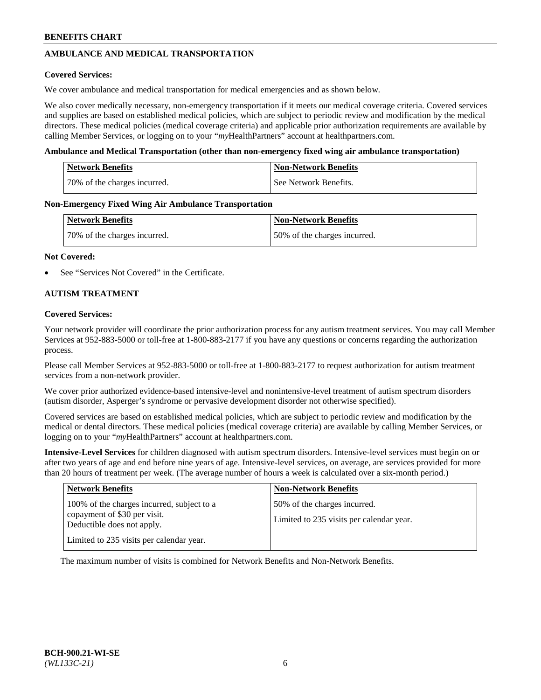# **AMBULANCE AND MEDICAL TRANSPORTATION**

### **Covered Services:**

We cover ambulance and medical transportation for medical emergencies and as shown below.

We also cover medically necessary, non-emergency transportation if it meets our medical coverage criteria. Covered services and supplies are based on established medical policies, which are subject to periodic review and modification by the medical directors. These medical policies (medical coverage criteria) and applicable prior authorization requirements are available by calling Member Services, or logging on to your "*my*HealthPartners" account a[t healthpartners.com.](https://www.healthpartners.com/hp/index.html)

### **Ambulance and Medical Transportation (other than non-emergency fixed wing air ambulance transportation)**

| <b>Network Benefits</b>      | <b>Non-Network Benefits</b> |
|------------------------------|-----------------------------|
| 70% of the charges incurred. | See Network Benefits.       |

### **Non-Emergency Fixed Wing Air Ambulance Transportation**

| <b>Network Benefits</b>      | <b>Non-Network Benefits</b>  |
|------------------------------|------------------------------|
| 70% of the charges incurred. | 50% of the charges incurred. |

### **Not Covered:**

See "Services Not Covered" in the Certificate.

# **AUTISM TREATMENT**

### **Covered Services:**

Your network provider will coordinate the prior authorization process for any autism treatment services. You may call Member Services at 952-883-5000 or toll-free at 1-800-883-2177 if you have any questions or concerns regarding the authorization process.

Please call Member Services at 952-883-5000 or toll-free at 1-800-883-2177 to request authorization for autism treatment services from a non-network provider.

We cover prior authorized evidence-based intensive-level and nonintensive-level treatment of autism spectrum disorders (autism disorder, Asperger's syndrome or pervasive development disorder not otherwise specified).

Covered services are based on established medical policies, which are subject to periodic review and modification by the medical or dental directors. These medical policies (medical coverage criteria) are available by calling Member Services, or logging on to your "*my*HealthPartners" account at [healthpartners.com.](https://www.healthpartners.com/hp/index.html)

**Intensive-Level Services** for children diagnosed with autism spectrum disorders. Intensive-level services must begin on or after two years of age and end before nine years of age. Intensive-level services, on average, are services provided for more than 20 hours of treatment per week. (The average number of hours a week is calculated over a six-month period.)

| <b>Network Benefits</b>                                                                                                                              | <b>Non-Network Benefits</b>                                              |
|------------------------------------------------------------------------------------------------------------------------------------------------------|--------------------------------------------------------------------------|
| 100% of the charges incurred, subject to a<br>copayment of \$30 per visit.<br>Deductible does not apply.<br>Limited to 235 visits per calendar year. | 50% of the charges incurred.<br>Limited to 235 visits per calendar year. |

The maximum number of visits is combined for Network Benefits and Non-Network Benefits.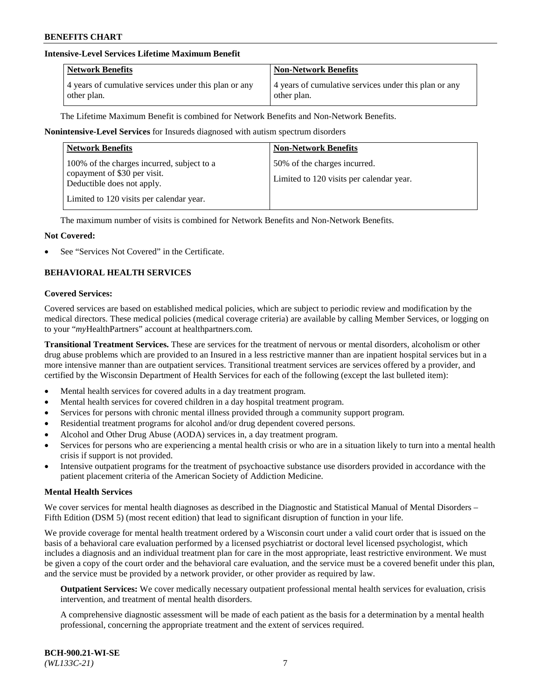# **Intensive-Level Services Lifetime Maximum Benefit**

| <b>Network Benefits</b>                               | <b>Non-Network Benefits</b>                           |
|-------------------------------------------------------|-------------------------------------------------------|
| 4 years of cumulative services under this plan or any | 4 years of cumulative services under this plan or any |
| other plan.                                           | other plan.                                           |

The Lifetime Maximum Benefit is combined for Network Benefits and Non-Network Benefits.

### **Nonintensive-Level Services** for Insureds diagnosed with autism spectrum disorders

| <b>Network Benefits</b>                                                                                                                              | <b>Non-Network Benefits</b>                                              |
|------------------------------------------------------------------------------------------------------------------------------------------------------|--------------------------------------------------------------------------|
| 100% of the charges incurred, subject to a<br>copayment of \$30 per visit.<br>Deductible does not apply.<br>Limited to 120 visits per calendar year. | 50% of the charges incurred.<br>Limited to 120 visits per calendar year. |

The maximum number of visits is combined for Network Benefits and Non-Network Benefits.

### **Not Covered:**

See "Services Not Covered" in the Certificate.

# **BEHAVIORAL HEALTH SERVICES**

#### **Covered Services:**

Covered services are based on established medical policies, which are subject to periodic review and modification by the medical directors. These medical policies (medical coverage criteria) are available by calling Member Services, or logging on to your "*my*HealthPartners" account at [healthpartners.com.](https://www.healthpartners.com/hp/index.html)

**Transitional Treatment Services.** These are services for the treatment of nervous or mental disorders, alcoholism or other drug abuse problems which are provided to an Insured in a less restrictive manner than are inpatient hospital services but in a more intensive manner than are outpatient services. Transitional treatment services are services offered by a provider, and certified by the Wisconsin Department of Health Services for each of the following (except the last bulleted item):

- Mental health services for covered adults in a day treatment program.
- Mental health services for covered children in a day hospital treatment program.
- Services for persons with chronic mental illness provided through a community support program.
- Residential treatment programs for alcohol and/or drug dependent covered persons.
- Alcohol and Other Drug Abuse (AODA) services in, a day treatment program.
- Services for persons who are experiencing a mental health crisis or who are in a situation likely to turn into a mental health crisis if support is not provided.
- Intensive outpatient programs for the treatment of psychoactive substance use disorders provided in accordance with the patient placement criteria of the American Society of Addiction Medicine.

#### **Mental Health Services**

We cover services for mental health diagnoses as described in the Diagnostic and Statistical Manual of Mental Disorders – Fifth Edition (DSM 5) (most recent edition) that lead to significant disruption of function in your life.

We provide coverage for mental health treatment ordered by a Wisconsin court under a valid court order that is issued on the basis of a behavioral care evaluation performed by a licensed psychiatrist or doctoral level licensed psychologist, which includes a diagnosis and an individual treatment plan for care in the most appropriate, least restrictive environment. We must be given a copy of the court order and the behavioral care evaluation, and the service must be a covered benefit under this plan, and the service must be provided by a network provider, or other provider as required by law.

**Outpatient Services:** We cover medically necessary outpatient professional mental health services for evaluation, crisis intervention, and treatment of mental health disorders.

A comprehensive diagnostic assessment will be made of each patient as the basis for a determination by a mental health professional, concerning the appropriate treatment and the extent of services required.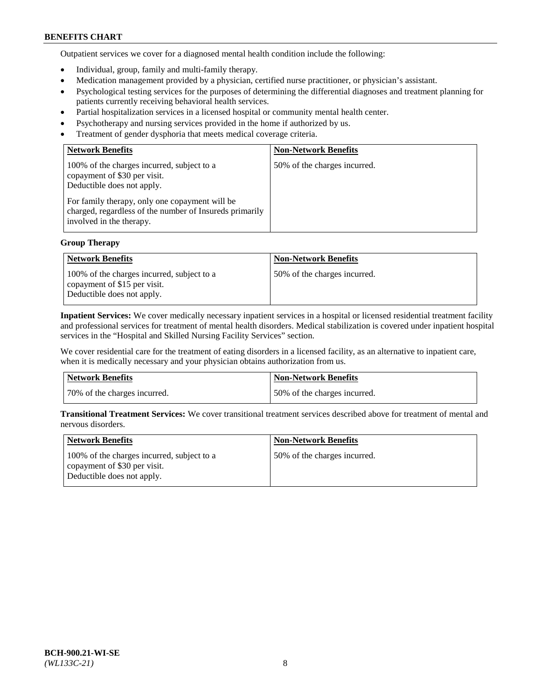Outpatient services we cover for a diagnosed mental health condition include the following:

- Individual, group, family and multi-family therapy.
- Medication management provided by a physician, certified nurse practitioner, or physician's assistant.
- Psychological testing services for the purposes of determining the differential diagnoses and treatment planning for patients currently receiving behavioral health services.
- Partial hospitalization services in a licensed hospital or community mental health center.
- Psychotherapy and nursing services provided in the home if authorized by us.
- Treatment of gender dysphoria that meets medical coverage criteria.

| <b>Network Benefits</b>                                                                                                                                                                                                                           | <b>Non-Network Benefits</b>  |
|---------------------------------------------------------------------------------------------------------------------------------------------------------------------------------------------------------------------------------------------------|------------------------------|
| 100% of the charges incurred, subject to a<br>copayment of \$30 per visit.<br>Deductible does not apply.<br>For family therapy, only one copayment will be<br>charged, regardless of the number of Insureds primarily<br>involved in the therapy. | 50% of the charges incurred. |

# **Group Therapy**

| <b>Network Benefits</b>                                                                                  | <b>Non-Network Benefits</b>  |
|----------------------------------------------------------------------------------------------------------|------------------------------|
| 100% of the charges incurred, subject to a<br>copayment of \$15 per visit.<br>Deductible does not apply. | 50% of the charges incurred. |

**Inpatient Services:** We cover medically necessary inpatient services in a hospital or licensed residential treatment facility and professional services for treatment of mental health disorders. Medical stabilization is covered under inpatient hospital services in the "Hospital and Skilled Nursing Facility Services" section.

We cover residential care for the treatment of eating disorders in a licensed facility, as an alternative to inpatient care, when it is medically necessary and your physician obtains authorization from us.

| Network Benefits             | <b>Non-Network Benefits</b>   |
|------------------------------|-------------------------------|
| 70% of the charges incurred. | 150% of the charges incurred. |

**Transitional Treatment Services:** We cover transitional treatment services described above for treatment of mental and nervous disorders.

| Network Benefits                                                                                         | <b>Non-Network Benefits</b>  |
|----------------------------------------------------------------------------------------------------------|------------------------------|
| 100% of the charges incurred, subject to a<br>copayment of \$30 per visit.<br>Deductible does not apply. | 50% of the charges incurred. |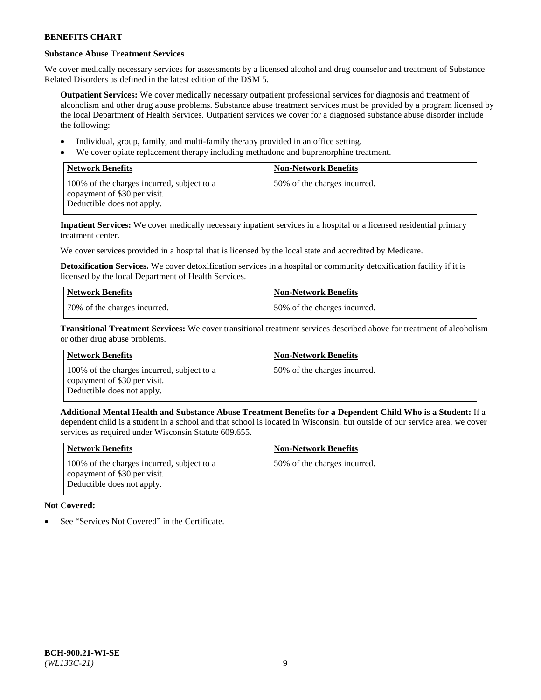# **Substance Abuse Treatment Services**

We cover medically necessary services for assessments by a licensed alcohol and drug counselor and treatment of Substance Related Disorders as defined in the latest edition of the DSM 5.

**Outpatient Services:** We cover medically necessary outpatient professional services for diagnosis and treatment of alcoholism and other drug abuse problems. Substance abuse treatment services must be provided by a program licensed by the local Department of Health Services. Outpatient services we cover for a diagnosed substance abuse disorder include the following:

- Individual, group, family, and multi-family therapy provided in an office setting.
- We cover opiate replacement therapy including methadone and buprenorphine treatment.

| <b>Network Benefits</b>                                                                                  | <b>Non-Network Benefits</b>  |
|----------------------------------------------------------------------------------------------------------|------------------------------|
| 100% of the charges incurred, subject to a<br>copayment of \$30 per visit.<br>Deductible does not apply. | 50% of the charges incurred. |

**Inpatient Services:** We cover medically necessary inpatient services in a hospital or a licensed residential primary treatment center.

We cover services provided in a hospital that is licensed by the local state and accredited by Medicare.

**Detoxification Services.** We cover detoxification services in a hospital or community detoxification facility if it is licensed by the local Department of Health Services.

| <b>Network Benefits</b>      | <b>Non-Network Benefits</b>  |
|------------------------------|------------------------------|
| 70% of the charges incurred. | 50% of the charges incurred. |

**Transitional Treatment Services:** We cover transitional treatment services described above for treatment of alcoholism or other drug abuse problems.

| <b>Network Benefits</b>                                                                                  | <b>Non-Network Benefits</b>  |
|----------------------------------------------------------------------------------------------------------|------------------------------|
| 100% of the charges incurred, subject to a<br>copayment of \$30 per visit.<br>Deductible does not apply. | 50% of the charges incurred. |

**Additional Mental Health and Substance Abuse Treatment Benefits for a Dependent Child Who is a Student:** If a dependent child is a student in a school and that school is located in Wisconsin, but outside of our service area, we cover services as required under Wisconsin Statute 609.655.

| Network Benefits                                                                                         | <b>Non-Network Benefits</b>  |
|----------------------------------------------------------------------------------------------------------|------------------------------|
| 100% of the charges incurred, subject to a<br>copayment of \$30 per visit.<br>Deductible does not apply. | 50% of the charges incurred. |

# **Not Covered:**

See "Services Not Covered" in the Certificate.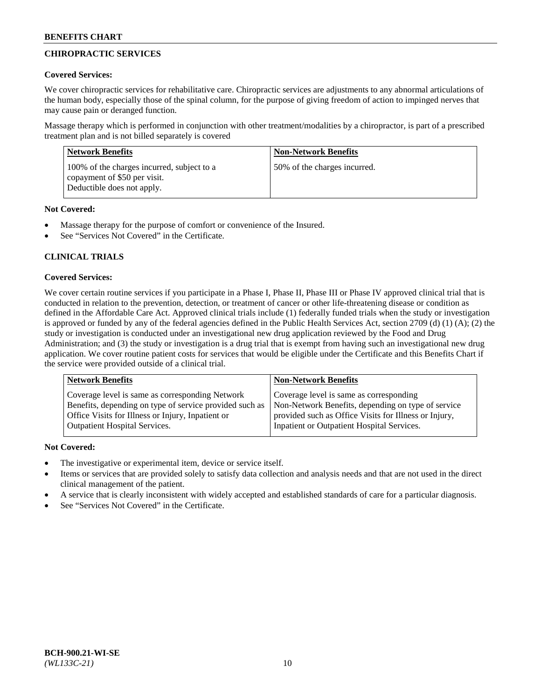# **CHIROPRACTIC SERVICES**

# **Covered Services:**

We cover chiropractic services for rehabilitative care. Chiropractic services are adjustments to any abnormal articulations of the human body, especially those of the spinal column, for the purpose of giving freedom of action to impinged nerves that may cause pain or deranged function.

Massage therapy which is performed in conjunction with other treatment/modalities by a chiropractor, is part of a prescribed treatment plan and is not billed separately is covered

| <b>Network Benefits</b>                                                                                  | <b>Non-Network Benefits</b>  |
|----------------------------------------------------------------------------------------------------------|------------------------------|
| 100% of the charges incurred, subject to a<br>copayment of \$50 per visit.<br>Deductible does not apply. | 50% of the charges incurred. |

# **Not Covered:**

- Massage therapy for the purpose of comfort or convenience of the Insured.
- See "Services Not Covered" in the Certificate.

# **CLINICAL TRIALS**

# **Covered Services:**

We cover certain routine services if you participate in a Phase I, Phase II, Phase III or Phase IV approved clinical trial that is conducted in relation to the prevention, detection, or treatment of cancer or other life-threatening disease or condition as defined in the Affordable Care Act. Approved clinical trials include (1) federally funded trials when the study or investigation is approved or funded by any of the federal agencies defined in the Public Health Services Act, section 2709 (d) (1) (A); (2) the study or investigation is conducted under an investigational new drug application reviewed by the Food and Drug Administration; and (3) the study or investigation is a drug trial that is exempt from having such an investigational new drug application. We cover routine patient costs for services that would be eligible under the Certificate and this Benefits Chart if the service were provided outside of a clinical trial.

| <b>Network Benefits</b>                                 | <b>Non-Network Benefits</b>                           |
|---------------------------------------------------------|-------------------------------------------------------|
| Coverage level is same as corresponding Network         | Coverage level is same as corresponding               |
| Benefits, depending on type of service provided such as | Non-Network Benefits, depending on type of service    |
| Office Visits for Illness or Injury, Inpatient or       | provided such as Office Visits for Illness or Injury, |
| Outpatient Hospital Services.                           | Inpatient or Outpatient Hospital Services.            |

# **Not Covered:**

- The investigative or experimental item, device or service itself.
- Items or services that are provided solely to satisfy data collection and analysis needs and that are not used in the direct clinical management of the patient.
- A service that is clearly inconsistent with widely accepted and established standards of care for a particular diagnosis.
- See "Services Not Covered" in the Certificate.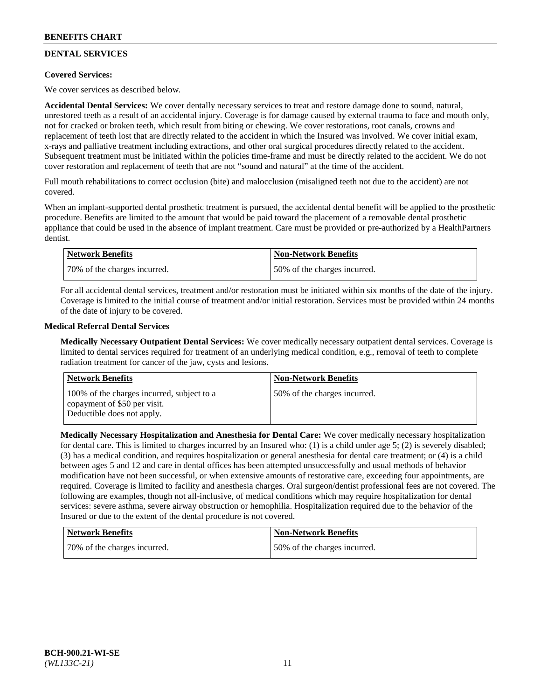# **DENTAL SERVICES**

# **Covered Services:**

We cover services as described below.

**Accidental Dental Services:** We cover dentally necessary services to treat and restore damage done to sound, natural, unrestored teeth as a result of an accidental injury. Coverage is for damage caused by external trauma to face and mouth only, not for cracked or broken teeth, which result from biting or chewing. We cover restorations, root canals, crowns and replacement of teeth lost that are directly related to the accident in which the Insured was involved. We cover initial exam, x-rays and palliative treatment including extractions, and other oral surgical procedures directly related to the accident. Subsequent treatment must be initiated within the policies time-frame and must be directly related to the accident. We do not cover restoration and replacement of teeth that are not "sound and natural" at the time of the accident.

Full mouth rehabilitations to correct occlusion (bite) and malocclusion (misaligned teeth not due to the accident) are not covered.

When an implant-supported dental prosthetic treatment is pursued, the accidental dental benefit will be applied to the prosthetic procedure. Benefits are limited to the amount that would be paid toward the placement of a removable dental prosthetic appliance that could be used in the absence of implant treatment. Care must be provided or pre-authorized by a HealthPartners dentist.

| Network Benefits             | <b>Non-Network Benefits</b>  |
|------------------------------|------------------------------|
| 70% of the charges incurred. | 50% of the charges incurred. |

For all accidental dental services, treatment and/or restoration must be initiated within six months of the date of the injury. Coverage is limited to the initial course of treatment and/or initial restoration. Services must be provided within 24 months of the date of injury to be covered.

# **Medical Referral Dental Services**

**Medically Necessary Outpatient Dental Services:** We cover medically necessary outpatient dental services. Coverage is limited to dental services required for treatment of an underlying medical condition, e.g., removal of teeth to complete radiation treatment for cancer of the jaw, cysts and lesions.

| Network Benefits                                                                                         | <b>Non-Network Benefits</b>  |
|----------------------------------------------------------------------------------------------------------|------------------------------|
| 100% of the charges incurred, subject to a<br>copayment of \$50 per visit.<br>Deductible does not apply. | 50% of the charges incurred. |

**Medically Necessary Hospitalization and Anesthesia for Dental Care:** We cover medically necessary hospitalization for dental care. This is limited to charges incurred by an Insured who: (1) is a child under age 5; (2) is severely disabled; (3) has a medical condition, and requires hospitalization or general anesthesia for dental care treatment; or (4) is a child between ages 5 and 12 and care in dental offices has been attempted unsuccessfully and usual methods of behavior modification have not been successful, or when extensive amounts of restorative care, exceeding four appointments, are required. Coverage is limited to facility and anesthesia charges. Oral surgeon/dentist professional fees are not covered. The following are examples, though not all-inclusive, of medical conditions which may require hospitalization for dental services: severe asthma, severe airway obstruction or hemophilia. Hospitalization required due to the behavior of the Insured or due to the extent of the dental procedure is not covered.

| <b>Network Benefits</b>      | <b>Non-Network Benefits</b>  |
|------------------------------|------------------------------|
| 70% of the charges incurred. | 50% of the charges incurred. |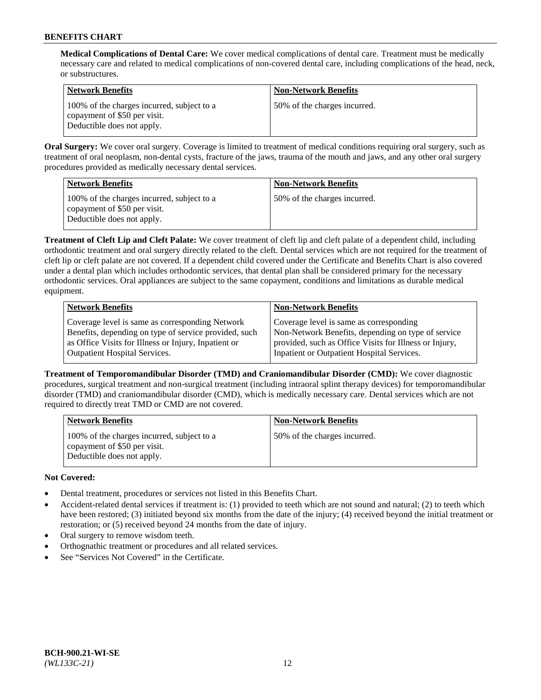**Medical Complications of Dental Care:** We cover medical complications of dental care. Treatment must be medically necessary care and related to medical complications of non-covered dental care, including complications of the head, neck, or substructures.

| <b>Network Benefits</b>                                                                                  | <b>Non-Network Benefits</b>  |
|----------------------------------------------------------------------------------------------------------|------------------------------|
| 100% of the charges incurred, subject to a<br>copayment of \$50 per visit.<br>Deductible does not apply. | 50% of the charges incurred. |

**Oral Surgery:** We cover oral surgery. Coverage is limited to treatment of medical conditions requiring oral surgery, such as treatment of oral neoplasm, non-dental cysts, fracture of the jaws, trauma of the mouth and jaws, and any other oral surgery procedures provided as medically necessary dental services.

| <b>Network Benefits</b>                                                                                  | <b>Non-Network Benefits</b>  |
|----------------------------------------------------------------------------------------------------------|------------------------------|
| 100% of the charges incurred, subject to a<br>copayment of \$50 per visit.<br>Deductible does not apply. | 50% of the charges incurred. |

**Treatment of Cleft Lip and Cleft Palate:** We cover treatment of cleft lip and cleft palate of a dependent child, including orthodontic treatment and oral surgery directly related to the cleft. Dental services which are not required for the treatment of cleft lip or cleft palate are not covered. If a dependent child covered under the Certificate and Benefits Chart is also covered under a dental plan which includes orthodontic services, that dental plan shall be considered primary for the necessary orthodontic services. Oral appliances are subject to the same copayment, conditions and limitations as durable medical equipment.

| <b>Network Benefits</b>                               | <b>Non-Network Benefits</b>                            |
|-------------------------------------------------------|--------------------------------------------------------|
| Coverage level is same as corresponding Network       | Coverage level is same as corresponding                |
| Benefits, depending on type of service provided, such | Non-Network Benefits, depending on type of service     |
| as Office Visits for Illness or Injury, Inpatient or  | provided, such as Office Visits for Illness or Injury, |
| Outpatient Hospital Services.                         | Inpatient or Outpatient Hospital Services.             |

**Treatment of Temporomandibular Disorder (TMD) and Craniomandibular Disorder (CMD):** We cover diagnostic procedures, surgical treatment and non-surgical treatment (including intraoral splint therapy devices) for temporomandibular disorder (TMD) and craniomandibular disorder (CMD), which is medically necessary care. Dental services which are not required to directly treat TMD or CMD are not covered.

| <b>Network Benefits</b>                                                                                  | <b>Non-Network Benefits</b>  |
|----------------------------------------------------------------------------------------------------------|------------------------------|
| 100% of the charges incurred, subject to a<br>copayment of \$50 per visit.<br>Deductible does not apply. | 50% of the charges incurred. |

# **Not Covered:**

- Dental treatment, procedures or services not listed in this Benefits Chart.
- Accident-related dental services if treatment is: (1) provided to teeth which are not sound and natural; (2) to teeth which have been restored; (3) initiated beyond six months from the date of the injury; (4) received beyond the initial treatment or restoration; or (5) received beyond 24 months from the date of injury.
- Oral surgery to remove wisdom teeth.
- Orthognathic treatment or procedures and all related services.
- See "Services Not Covered" in the Certificate.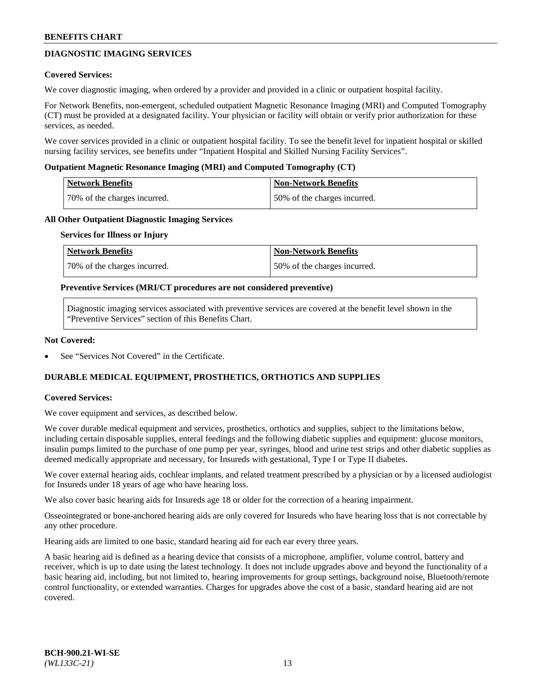# **DIAGNOSTIC IMAGING SERVICES**

### **Covered Services:**

We cover diagnostic imaging, when ordered by a provider and provided in a clinic or outpatient hospital facility.

For Network Benefits, non-emergent, scheduled outpatient Magnetic Resonance Imaging (MRI) and Computed Tomography (CT) must be provided at a designated facility. Your physician or facility will obtain or verify prior authorization for these services, as needed.

We cover services provided in a clinic or outpatient hospital facility. To see the benefit level for inpatient hospital or skilled nursing facility services, see benefits under "Inpatient Hospital and Skilled Nursing Facility Services".

### **Outpatient Magnetic Resonance Imaging (MRI) and Computed Tomography (CT)**

| <b>Network Benefits</b>      | <b>Non-Network Benefits</b>  |
|------------------------------|------------------------------|
| 70% of the charges incurred. | 50% of the charges incurred. |

### **All Other Outpatient Diagnostic Imaging Services**

#### **Services for Illness or Injury**

| Network Benefits             | <b>Non-Network Benefits</b>  |
|------------------------------|------------------------------|
| 70% of the charges incurred. | 50% of the charges incurred. |

### **Preventive Services (MRI/CT procedures are not considered preventive)**

Diagnostic imaging services associated with preventive services are covered at the benefit level shown in the "Preventive Services" section of this Benefits Chart.

### **Not Covered:**

See "Services Not Covered" in the Certificate.

# **DURABLE MEDICAL EQUIPMENT, PROSTHETICS, ORTHOTICS AND SUPPLIES**

#### **Covered Services:**

We cover equipment and services, as described below.

We cover durable medical equipment and services, prosthetics, orthotics and supplies, subject to the limitations below, including certain disposable supplies, enteral feedings and the following diabetic supplies and equipment: glucose monitors, insulin pumps limited to the purchase of one pump per year, syringes, blood and urine test strips and other diabetic supplies as deemed medically appropriate and necessary, for Insureds with gestational, Type I or Type II diabetes.

We cover external hearing aids, cochlear implants, and related treatment prescribed by a physician or by a licensed audiologist for Insureds under 18 years of age who have hearing loss.

We also cover basic hearing aids for Insureds age 18 or older for the correction of a hearing impairment.

Osseointegrated or bone-anchored hearing aids are only covered for Insureds who have hearing loss that is not correctable by any other procedure.

Hearing aids are limited to one basic, standard hearing aid for each ear every three years.

A basic hearing aid is defined as a hearing device that consists of a microphone, amplifier, volume control, battery and receiver, which is up to date using the latest technology. It does not include upgrades above and beyond the functionality of a basic hearing aid, including, but not limited to, hearing improvements for group settings, background noise, Bluetooth/remote control functionality, or extended warranties. Charges for upgrades above the cost of a basic, standard hearing aid are not covered.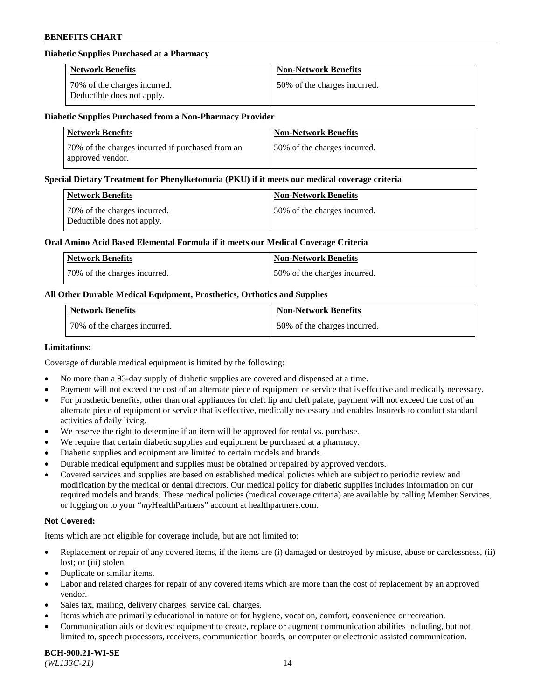# **Diabetic Supplies Purchased at a Pharmacy**

| <b>Network Benefits</b>                                    | <b>Non-Network Benefits</b>  |
|------------------------------------------------------------|------------------------------|
| 70% of the charges incurred.<br>Deductible does not apply. | 50% of the charges incurred. |

#### **Diabetic Supplies Purchased from a Non-Pharmacy Provider**

| <b>Network Benefits</b>                                              | <b>Non-Network Benefits</b>  |
|----------------------------------------------------------------------|------------------------------|
| 70% of the charges incurred if purchased from an<br>approved vendor. | 50% of the charges incurred. |

#### **Special Dietary Treatment for Phenylketonuria (PKU) if it meets our medical coverage criteria**

| Network Benefits                                           | <b>Non-Network Benefits</b>  |
|------------------------------------------------------------|------------------------------|
| 70% of the charges incurred.<br>Deductible does not apply. | 50% of the charges incurred. |

### **Oral Amino Acid Based Elemental Formula if it meets our Medical Coverage Criteria**

| Network Benefits             | <b>Non-Network Benefits</b>  |
|------------------------------|------------------------------|
| 70% of the charges incurred. | 50% of the charges incurred. |

# **All Other Durable Medical Equipment, Prosthetics, Orthotics and Supplies**

| <b>Network Benefits</b>      | <b>Non-Network Benefits</b>  |
|------------------------------|------------------------------|
| 70% of the charges incurred. | 50% of the charges incurred. |

### **Limitations:**

Coverage of durable medical equipment is limited by the following:

- No more than a 93-day supply of diabetic supplies are covered and dispensed at a time.
- Payment will not exceed the cost of an alternate piece of equipment or service that is effective and medically necessary.
- For prosthetic benefits, other than oral appliances for cleft lip and cleft palate, payment will not exceed the cost of an alternate piece of equipment or service that is effective, medically necessary and enables Insureds to conduct standard
- activities of daily living. We reserve the right to determine if an item will be approved for rental vs. purchase.
- We require that certain diabetic supplies and equipment be purchased at a pharmacy.
- Diabetic supplies and equipment are limited to certain models and brands.
- Durable medical equipment and supplies must be obtained or repaired by approved vendors.
- Covered services and supplies are based on established medical policies which are subject to periodic review and modification by the medical or dental directors. Our medical policy for diabetic supplies includes information on our required models and brands. These medical policies (medical coverage criteria) are available by calling Member Services, or logging on to your "*my*HealthPartners" account a[t healthpartners.com.](https://www.healthpartners.com/hp/index.html)

# **Not Covered:**

Items which are not eligible for coverage include, but are not limited to:

- Replacement or repair of any covered items, if the items are (i) damaged or destroyed by misuse, abuse or carelessness, (ii) lost; or (iii) stolen.
- Duplicate or similar items.
- Labor and related charges for repair of any covered items which are more than the cost of replacement by an approved vendor.
- Sales tax, mailing, delivery charges, service call charges.
- Items which are primarily educational in nature or for hygiene, vocation, comfort, convenience or recreation.
- Communication aids or devices: equipment to create, replace or augment communication abilities including, but not limited to, speech processors, receivers, communication boards, or computer or electronic assisted communication.

#### **BCH-900.21-WI-SE**  *(WL133C-21)* 14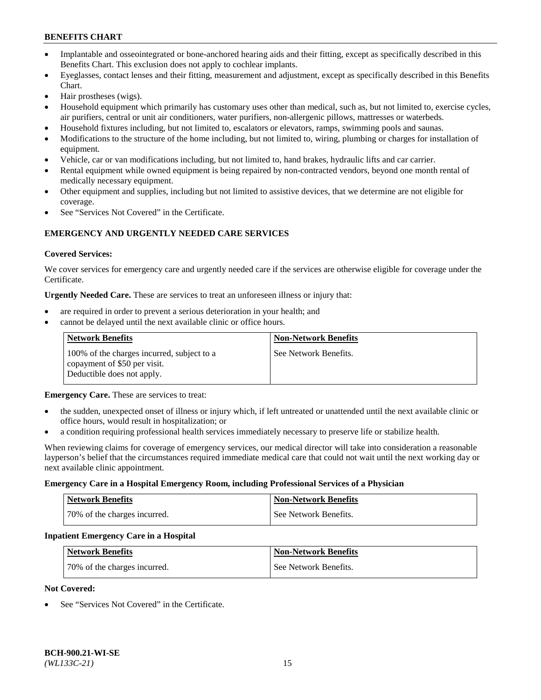- Implantable and osseointegrated or bone-anchored hearing aids and their fitting, except as specifically described in this Benefits Chart. This exclusion does not apply to cochlear implants.
- Eyeglasses, contact lenses and their fitting, measurement and adjustment, except as specifically described in this Benefits Chart.
- Hair prostheses (wigs).
- Household equipment which primarily has customary uses other than medical, such as, but not limited to, exercise cycles, air purifiers, central or unit air conditioners, water purifiers, non-allergenic pillows, mattresses or waterbeds.
- Household fixtures including, but not limited to, escalators or elevators, ramps, swimming pools and saunas.
- Modifications to the structure of the home including, but not limited to, wiring, plumbing or charges for installation of equipment.
- Vehicle, car or van modifications including, but not limited to, hand brakes, hydraulic lifts and car carrier.
- Rental equipment while owned equipment is being repaired by non-contracted vendors, beyond one month rental of medically necessary equipment.
- Other equipment and supplies, including but not limited to assistive devices, that we determine are not eligible for coverage.
- See "Services Not Covered" in the Certificate.

# **EMERGENCY AND URGENTLY NEEDED CARE SERVICES**

### **Covered Services:**

We cover services for emergency care and urgently needed care if the services are otherwise eligible for coverage under the Certificate.

**Urgently Needed Care.** These are services to treat an unforeseen illness or injury that:

- are required in order to prevent a serious deterioration in your health; and
- cannot be delayed until the next available clinic or office hours.

| <b>Network Benefits</b>                                                                                  | <b>Non-Network Benefits</b> |
|----------------------------------------------------------------------------------------------------------|-----------------------------|
| 100% of the charges incurred, subject to a<br>copayment of \$50 per visit.<br>Deductible does not apply. | See Network Benefits.       |

**Emergency Care.** These are services to treat:

- the sudden, unexpected onset of illness or injury which, if left untreated or unattended until the next available clinic or office hours, would result in hospitalization; or
- a condition requiring professional health services immediately necessary to preserve life or stabilize health.

When reviewing claims for coverage of emergency services, our medical director will take into consideration a reasonable layperson's belief that the circumstances required immediate medical care that could not wait until the next working day or next available clinic appointment.

#### **Emergency Care in a Hospital Emergency Room, including Professional Services of a Physician**

| <b>Network Benefits</b>      | <b>Non-Network Benefits</b> |
|------------------------------|-----------------------------|
| 70% of the charges incurred. | See Network Benefits.       |

#### **Inpatient Emergency Care in a Hospital**

| <b>Network Benefits</b>      | <b>Non-Network Benefits</b> |
|------------------------------|-----------------------------|
| 70% of the charges incurred. | See Network Benefits.       |

### **Not Covered:**

See "Services Not Covered" in the Certificate.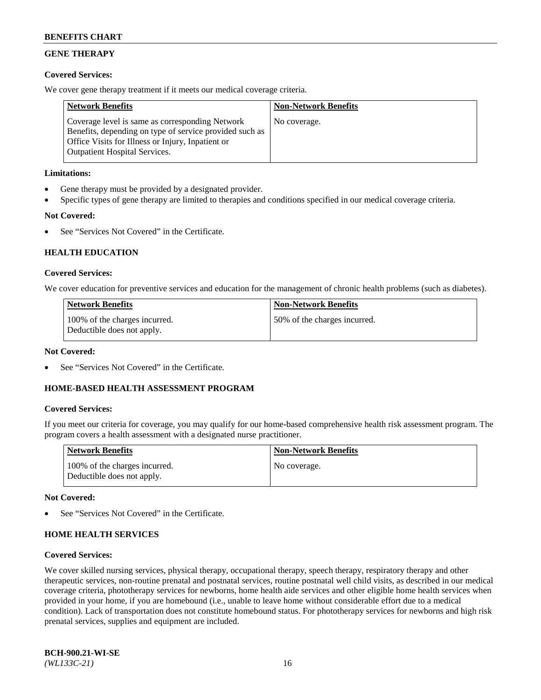# **GENE THERAPY**

# **Covered Services:**

We cover gene therapy treatment if it meets our medical coverage criteria.

| <b>Network Benefits</b>                                                                                                                                                                                 | <b>Non-Network Benefits</b> |
|---------------------------------------------------------------------------------------------------------------------------------------------------------------------------------------------------------|-----------------------------|
| Coverage level is same as corresponding Network<br>Benefits, depending on type of service provided such as<br>Office Visits for Illness or Injury, Inpatient or<br><b>Outpatient Hospital Services.</b> | No coverage.                |

# **Limitations:**

- Gene therapy must be provided by a designated provider.
- Specific types of gene therapy are limited to therapies and conditions specified in our medical coverage criteria.

# **Not Covered:**

See "Services Not Covered" in the Certificate.

# **HEALTH EDUCATION**

### **Covered Services:**

We cover education for preventive services and education for the management of chronic health problems (such as diabetes).

| <b>Network Benefits</b>                                     | <b>Non-Network Benefits</b>  |
|-------------------------------------------------------------|------------------------------|
| 100% of the charges incurred.<br>Deductible does not apply. | 50% of the charges incurred. |

#### **Not Covered:**

See "Services Not Covered" in the Certificate.

# **HOME-BASED HEALTH ASSESSMENT PROGRAM**

#### **Covered Services:**

If you meet our criteria for coverage, you may qualify for our home-based comprehensive health risk assessment program. The program covers a health assessment with a designated nurse practitioner.

| Network Benefits                                            | <b>Non-Network Benefits</b> |
|-------------------------------------------------------------|-----------------------------|
| 100% of the charges incurred.<br>Deductible does not apply. | No coverage.                |

#### **Not Covered:**

See "Services Not Covered" in the Certificate.

# **HOME HEALTH SERVICES**

#### **Covered Services:**

We cover skilled nursing services, physical therapy, occupational therapy, speech therapy, respiratory therapy and other therapeutic services, non-routine prenatal and postnatal services, routine postnatal well child visits, as described in our medical coverage criteria, phototherapy services for newborns, home health aide services and other eligible home health services when provided in your home, if you are homebound (i.e., unable to leave home without considerable effort due to a medical condition). Lack of transportation does not constitute homebound status. For phototherapy services for newborns and high risk prenatal services, supplies and equipment are included.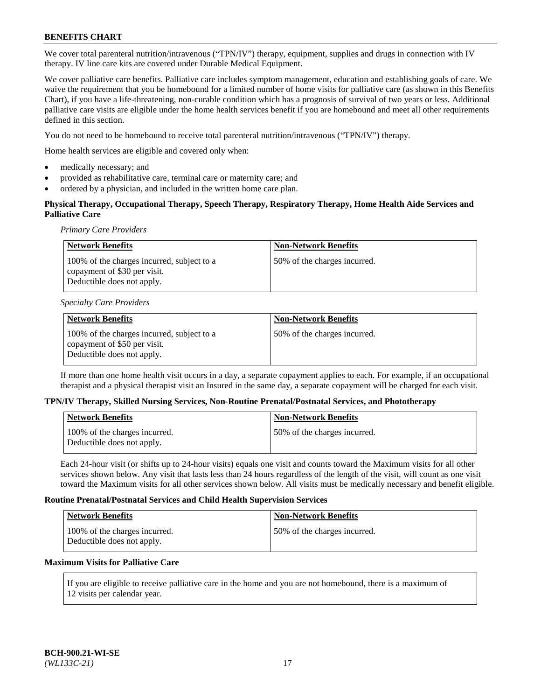We cover total parenteral nutrition/intravenous ("TPN/IV") therapy, equipment, supplies and drugs in connection with IV therapy. IV line care kits are covered under Durable Medical Equipment.

We cover palliative care benefits. Palliative care includes symptom management, education and establishing goals of care. We waive the requirement that you be homebound for a limited number of home visits for palliative care (as shown in this Benefits Chart), if you have a life-threatening, non-curable condition which has a prognosis of survival of two years or less. Additional palliative care visits are eligible under the home health services benefit if you are homebound and meet all other requirements defined in this section.

You do not need to be homebound to receive total parenteral nutrition/intravenous ("TPN/IV") therapy.

Home health services are eligible and covered only when:

- medically necessary; and
- provided as rehabilitative care, terminal care or maternity care; and
- ordered by a physician, and included in the written home care plan.

# **Physical Therapy, Occupational Therapy, Speech Therapy, Respiratory Therapy, Home Health Aide Services and Palliative Care**

*Primary Care Providers*

| <b>Network Benefits</b>                                                                                  | <b>Non-Network Benefits</b>  |
|----------------------------------------------------------------------------------------------------------|------------------------------|
| 100% of the charges incurred, subject to a<br>copayment of \$30 per visit.<br>Deductible does not apply. | 50% of the charges incurred. |

#### *Specialty Care Providers*

| Network Benefits                                                                                         | <b>Non-Network Benefits</b>  |
|----------------------------------------------------------------------------------------------------------|------------------------------|
| 100% of the charges incurred, subject to a<br>copayment of \$50 per visit.<br>Deductible does not apply. | 50% of the charges incurred. |

If more than one home health visit occurs in a day, a separate copayment applies to each. For example, if an occupational therapist and a physical therapist visit an Insured in the same day, a separate copayment will be charged for each visit.

#### **TPN/IV Therapy, Skilled Nursing Services, Non-Routine Prenatal/Postnatal Services, and Phototherapy**

| <b>Network Benefits</b>                                     | <b>Non-Network Benefits</b>  |
|-------------------------------------------------------------|------------------------------|
| 100% of the charges incurred.<br>Deductible does not apply. | 50% of the charges incurred. |

Each 24-hour visit (or shifts up to 24-hour visits) equals one visit and counts toward the Maximum visits for all other services shown below. Any visit that lasts less than 24 hours regardless of the length of the visit, will count as one visit toward the Maximum visits for all other services shown below. All visits must be medically necessary and benefit eligible.

### **Routine Prenatal/Postnatal Services and Child Health Supervision Services**

| <b>Network Benefits</b>                                     | <b>Non-Network Benefits</b>  |
|-------------------------------------------------------------|------------------------------|
| 100% of the charges incurred.<br>Deductible does not apply. | 50% of the charges incurred. |

# **Maximum Visits for Palliative Care**

If you are eligible to receive palliative care in the home and you are not homebound, there is a maximum of 12 visits per calendar year.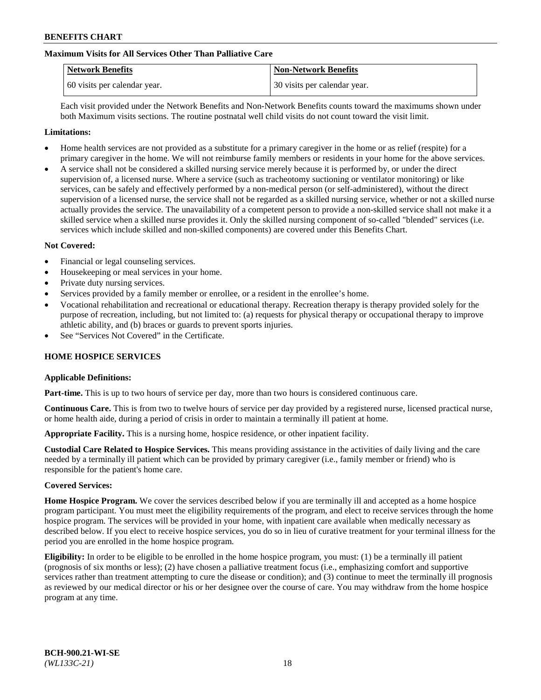# **Maximum Visits for All Services Other Than Palliative Care**

| <b>Network Benefits</b>      | <b>Non-Network Benefits</b>  |
|------------------------------|------------------------------|
| 60 visits per calendar year. | 30 visits per calendar year. |

Each visit provided under the Network Benefits and Non-Network Benefits counts toward the maximums shown under both Maximum visits sections. The routine postnatal well child visits do not count toward the visit limit.

#### **Limitations:**

- Home health services are not provided as a substitute for a primary caregiver in the home or as relief (respite) for a primary caregiver in the home. We will not reimburse family members or residents in your home for the above services.
- A service shall not be considered a skilled nursing service merely because it is performed by, or under the direct supervision of, a licensed nurse. Where a service (such as tracheotomy suctioning or ventilator monitoring) or like services, can be safely and effectively performed by a non-medical person (or self-administered), without the direct supervision of a licensed nurse, the service shall not be regarded as a skilled nursing service, whether or not a skilled nurse actually provides the service. The unavailability of a competent person to provide a non-skilled service shall not make it a skilled service when a skilled nurse provides it. Only the skilled nursing component of so-called "blended" services (i.e. services which include skilled and non-skilled components) are covered under this Benefits Chart.

#### **Not Covered:**

- Financial or legal counseling services.
- Housekeeping or meal services in your home.
- Private duty nursing services.
- Services provided by a family member or enrollee, or a resident in the enrollee's home.
- Vocational rehabilitation and recreational or educational therapy. Recreation therapy is therapy provided solely for the purpose of recreation, including, but not limited to: (a) requests for physical therapy or occupational therapy to improve athletic ability, and (b) braces or guards to prevent sports injuries.
- See "Services Not Covered" in the Certificate.

# **HOME HOSPICE SERVICES**

#### **Applicable Definitions:**

**Part-time.** This is up to two hours of service per day, more than two hours is considered continuous care.

**Continuous Care.** This is from two to twelve hours of service per day provided by a registered nurse, licensed practical nurse, or home health aide, during a period of crisis in order to maintain a terminally ill patient at home.

**Appropriate Facility.** This is a nursing home, hospice residence, or other inpatient facility.

**Custodial Care Related to Hospice Services.** This means providing assistance in the activities of daily living and the care needed by a terminally ill patient which can be provided by primary caregiver (i.e., family member or friend) who is responsible for the patient's home care.

#### **Covered Services:**

**Home Hospice Program.** We cover the services described below if you are terminally ill and accepted as a home hospice program participant. You must meet the eligibility requirements of the program, and elect to receive services through the home hospice program. The services will be provided in your home, with inpatient care available when medically necessary as described below. If you elect to receive hospice services, you do so in lieu of curative treatment for your terminal illness for the period you are enrolled in the home hospice program.

**Eligibility:** In order to be eligible to be enrolled in the home hospice program, you must: (1) be a terminally ill patient (prognosis of six months or less); (2) have chosen a palliative treatment focus (i.e., emphasizing comfort and supportive services rather than treatment attempting to cure the disease or condition); and (3) continue to meet the terminally ill prognosis as reviewed by our medical director or his or her designee over the course of care. You may withdraw from the home hospice program at any time.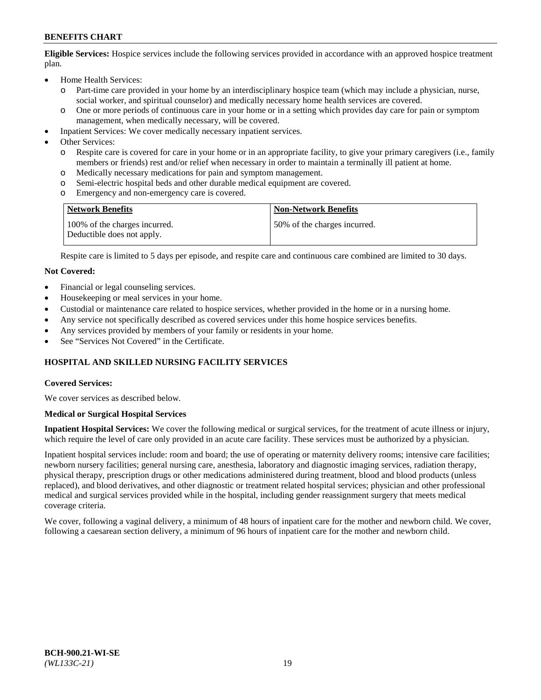**Eligible Services:** Hospice services include the following services provided in accordance with an approved hospice treatment plan.

- Home Health Services:
	- o Part-time care provided in your home by an interdisciplinary hospice team (which may include a physician, nurse, social worker, and spiritual counselor) and medically necessary home health services are covered.
	- o One or more periods of continuous care in your home or in a setting which provides day care for pain or symptom management, when medically necessary, will be covered.
- Inpatient Services: We cover medically necessary inpatient services.
- Other Services:
	- o Respite care is covered for care in your home or in an appropriate facility, to give your primary caregivers (i.e., family members or friends) rest and/or relief when necessary in order to maintain a terminally ill patient at home.
	- o Medically necessary medications for pain and symptom management.
	- Semi-electric hospital beds and other durable medical equipment are covered.
	- o Emergency and non-emergency care is covered.

| <b>Network Benefits</b>                                     | <b>Non-Network Benefits</b>  |
|-------------------------------------------------------------|------------------------------|
| 100% of the charges incurred.<br>Deductible does not apply. | 50% of the charges incurred. |

Respite care is limited to 5 days per episode, and respite care and continuous care combined are limited to 30 days.

### **Not Covered:**

- Financial or legal counseling services.
- Housekeeping or meal services in your home.
- Custodial or maintenance care related to hospice services, whether provided in the home or in a nursing home.
- Any service not specifically described as covered services under this home hospice services benefits.
- Any services provided by members of your family or residents in your home.
- See "Services Not Covered" in the Certificate.

# **HOSPITAL AND SKILLED NURSING FACILITY SERVICES**

#### **Covered Services:**

We cover services as described below.

#### **Medical or Surgical Hospital Services**

**Inpatient Hospital Services:** We cover the following medical or surgical services, for the treatment of acute illness or injury, which require the level of care only provided in an acute care facility. These services must be authorized by a physician.

Inpatient hospital services include: room and board; the use of operating or maternity delivery rooms; intensive care facilities; newborn nursery facilities; general nursing care, anesthesia, laboratory and diagnostic imaging services, radiation therapy, physical therapy, prescription drugs or other medications administered during treatment, blood and blood products (unless replaced), and blood derivatives, and other diagnostic or treatment related hospital services; physician and other professional medical and surgical services provided while in the hospital, including gender reassignment surgery that meets medical coverage criteria.

We cover, following a vaginal delivery, a minimum of 48 hours of inpatient care for the mother and newborn child. We cover, following a caesarean section delivery, a minimum of 96 hours of inpatient care for the mother and newborn child.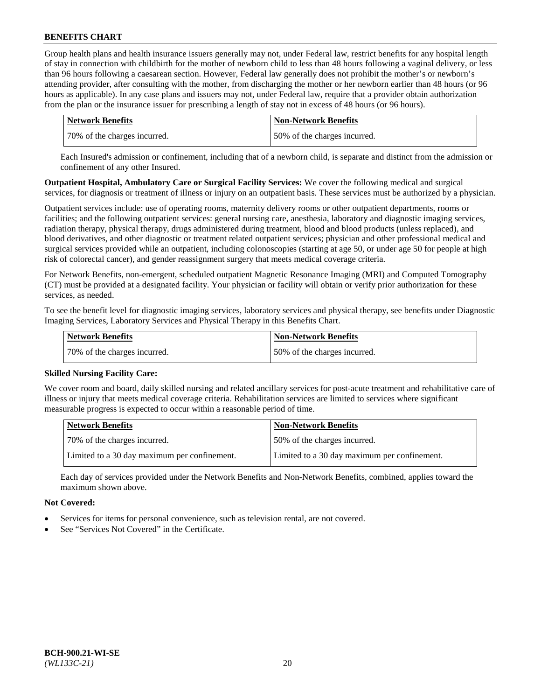Group health plans and health insurance issuers generally may not, under Federal law, restrict benefits for any hospital length of stay in connection with childbirth for the mother of newborn child to less than 48 hours following a vaginal delivery, or less than 96 hours following a caesarean section. However, Federal law generally does not prohibit the mother's or newborn's attending provider, after consulting with the mother, from discharging the mother or her newborn earlier than 48 hours (or 96 hours as applicable). In any case plans and issuers may not, under Federal law, require that a provider obtain authorization from the plan or the insurance issuer for prescribing a length of stay not in excess of 48 hours (or 96 hours).

| Network Benefits             | <b>Non-Network Benefits</b>  |
|------------------------------|------------------------------|
| 70% of the charges incurred. | 50% of the charges incurred. |

Each Insured's admission or confinement, including that of a newborn child, is separate and distinct from the admission or confinement of any other Insured.

**Outpatient Hospital, Ambulatory Care or Surgical Facility Services:** We cover the following medical and surgical services, for diagnosis or treatment of illness or injury on an outpatient basis. These services must be authorized by a physician.

Outpatient services include: use of operating rooms, maternity delivery rooms or other outpatient departments, rooms or facilities; and the following outpatient services: general nursing care, anesthesia, laboratory and diagnostic imaging services, radiation therapy, physical therapy, drugs administered during treatment, blood and blood products (unless replaced), and blood derivatives, and other diagnostic or treatment related outpatient services; physician and other professional medical and surgical services provided while an outpatient, including colonoscopies (starting at age 50, or under age 50 for people at high risk of colorectal cancer), and gender reassignment surgery that meets medical coverage criteria.

For Network Benefits, non-emergent, scheduled outpatient Magnetic Resonance Imaging (MRI) and Computed Tomography (CT) must be provided at a designated facility. Your physician or facility will obtain or verify prior authorization for these services, as needed.

To see the benefit level for diagnostic imaging services, laboratory services and physical therapy, see benefits under Diagnostic Imaging Services, Laboratory Services and Physical Therapy in this Benefits Chart.

| <b>Network Benefits</b>      | <b>Non-Network Benefits</b>  |
|------------------------------|------------------------------|
| 70% of the charges incurred. | 50% of the charges incurred. |

#### **Skilled Nursing Facility Care:**

We cover room and board, daily skilled nursing and related ancillary services for post-acute treatment and rehabilitative care of illness or injury that meets medical coverage criteria. Rehabilitation services are limited to services where significant measurable progress is expected to occur within a reasonable period of time.

| <b>Network Benefits</b>                      | <b>Non-Network Benefits</b>                  |
|----------------------------------------------|----------------------------------------------|
| 170% of the charges incurred.                | 50% of the charges incurred.                 |
| Limited to a 30 day maximum per confinement. | Limited to a 30 day maximum per confinement. |

Each day of services provided under the Network Benefits and Non-Network Benefits, combined, applies toward the maximum shown above.

#### **Not Covered:**

- Services for items for personal convenience, such as television rental, are not covered.
- See "Services Not Covered" in the Certificate.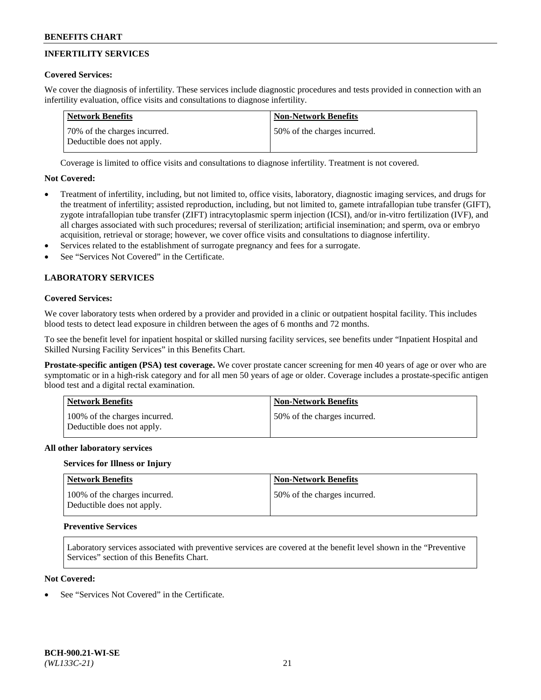# **INFERTILITY SERVICES**

# **Covered Services:**

We cover the diagnosis of infertility. These services include diagnostic procedures and tests provided in connection with an infertility evaluation, office visits and consultations to diagnose infertility.

| Network Benefits                                           | <b>Non-Network Benefits</b>  |
|------------------------------------------------------------|------------------------------|
| 70% of the charges incurred.<br>Deductible does not apply. | 50% of the charges incurred. |

Coverage is limited to office visits and consultations to diagnose infertility. Treatment is not covered.

# **Not Covered:**

- Treatment of infertility, including, but not limited to, office visits, laboratory, diagnostic imaging services, and drugs for the treatment of infertility; assisted reproduction, including, but not limited to, gamete intrafallopian tube transfer (GIFT), zygote intrafallopian tube transfer (ZIFT) intracytoplasmic sperm injection (ICSI), and/or in-vitro fertilization (IVF), and all charges associated with such procedures; reversal of sterilization; artificial insemination; and sperm, ova or embryo acquisition, retrieval or storage; however, we cover office visits and consultations to diagnose infertility.
- Services related to the establishment of surrogate pregnancy and fees for a surrogate.
- See "Services Not Covered" in the Certificate.

# **LABORATORY SERVICES**

### **Covered Services:**

We cover laboratory tests when ordered by a provider and provided in a clinic or outpatient hospital facility. This includes blood tests to detect lead exposure in children between the ages of 6 months and 72 months.

To see the benefit level for inpatient hospital or skilled nursing facility services, see benefits under "Inpatient Hospital and Skilled Nursing Facility Services" in this Benefits Chart.

**Prostate-specific antigen (PSA) test coverage.** We cover prostate cancer screening for men 40 years of age or over who are symptomatic or in a high-risk category and for all men 50 years of age or older. Coverage includes a prostate-specific antigen blood test and a digital rectal examination.

| <b>Network Benefits</b>                                     | <b>Non-Network Benefits</b>   |
|-------------------------------------------------------------|-------------------------------|
| 100% of the charges incurred.<br>Deductible does not apply. | 150% of the charges incurred. |

#### **All other laboratory services**

#### **Services for Illness or Injury**

| <b>Network Benefits</b>                                     | <b>Non-Network Benefits</b>  |
|-------------------------------------------------------------|------------------------------|
| 100% of the charges incurred.<br>Deductible does not apply. | 50% of the charges incurred. |

#### **Preventive Services**

Laboratory services associated with preventive services are covered at the benefit level shown in the "Preventive Services" section of this Benefits Chart.

# **Not Covered:**

See "Services Not Covered" in the Certificate.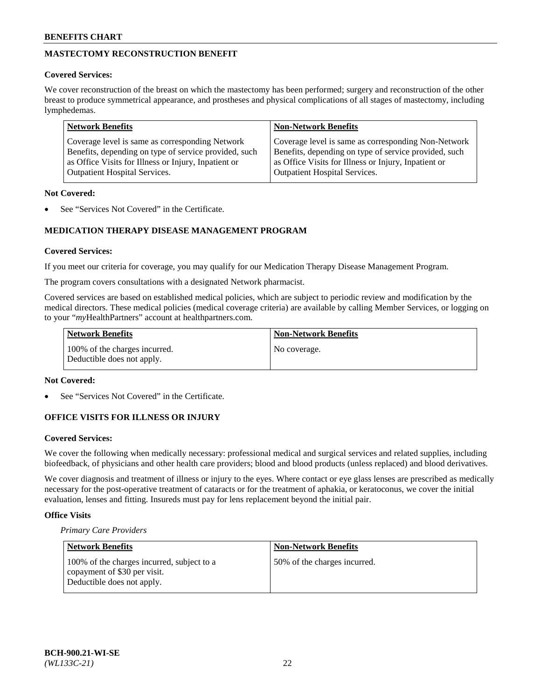# **MASTECTOMY RECONSTRUCTION BENEFIT**

# **Covered Services:**

We cover reconstruction of the breast on which the mastectomy has been performed; surgery and reconstruction of the other breast to produce symmetrical appearance, and prostheses and physical complications of all stages of mastectomy, including lymphedemas.

| <b>Network Benefits</b>                               | <b>Non-Network Benefits</b>                           |
|-------------------------------------------------------|-------------------------------------------------------|
| Coverage level is same as corresponding Network       | Coverage level is same as corresponding Non-Network   |
| Benefits, depending on type of service provided, such | Benefits, depending on type of service provided, such |
| as Office Visits for Illness or Injury, Inpatient or  | as Office Visits for Illness or Injury, Inpatient or  |
| <b>Outpatient Hospital Services.</b>                  | Outpatient Hospital Services.                         |

# **Not Covered:**

See "Services Not Covered" in the Certificate.

# **MEDICATION THERAPY DISEASE MANAGEMENT PROGRAM**

# **Covered Services:**

If you meet our criteria for coverage, you may qualify for our Medication Therapy Disease Management Program.

The program covers consultations with a designated Network pharmacist.

Covered services are based on established medical policies, which are subject to periodic review and modification by the medical directors. These medical policies (medical coverage criteria) are available by calling Member Services, or logging on to your "*my*HealthPartners" account at [healthpartners.com.](http://www.healthpartners.com/)

| Network Benefits                                            | <b>Non-Network Benefits</b> |
|-------------------------------------------------------------|-----------------------------|
| 100% of the charges incurred.<br>Deductible does not apply. | No coverage.                |

### **Not Covered:**

See "Services Not Covered" in the Certificate.

# **OFFICE VISITS FOR ILLNESS OR INJURY**

#### **Covered Services:**

We cover the following when medically necessary: professional medical and surgical services and related supplies, including biofeedback, of physicians and other health care providers; blood and blood products (unless replaced) and blood derivatives.

We cover diagnosis and treatment of illness or injury to the eyes. Where contact or eye glass lenses are prescribed as medically necessary for the post-operative treatment of cataracts or for the treatment of aphakia, or keratoconus, we cover the initial evaluation, lenses and fitting. Insureds must pay for lens replacement beyond the initial pair.

# **Office Visits**

*Primary Care Providers*

| Network Benefits                                                                                         | <b>Non-Network Benefits</b>  |
|----------------------------------------------------------------------------------------------------------|------------------------------|
| 100% of the charges incurred, subject to a<br>copayment of \$30 per visit.<br>Deductible does not apply. | 50% of the charges incurred. |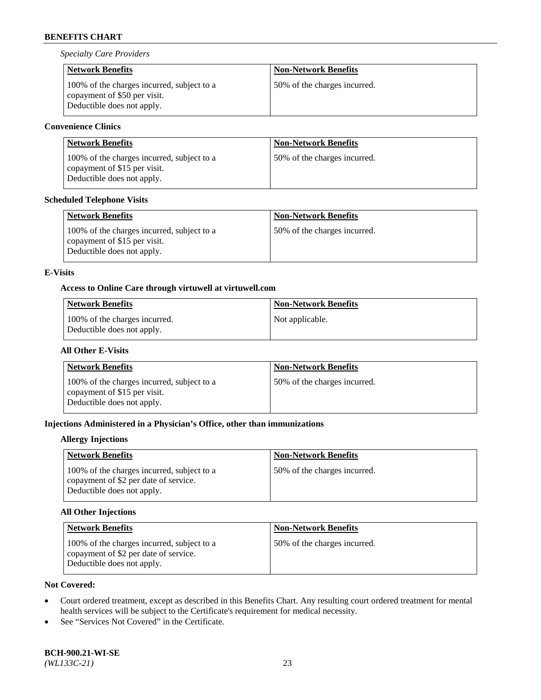*Specialty Care Providers*

| <b>Network Benefits</b>                                                                                  | <b>Non-Network Benefits</b>  |
|----------------------------------------------------------------------------------------------------------|------------------------------|
| 100% of the charges incurred, subject to a<br>copayment of \$50 per visit.<br>Deductible does not apply. | 50% of the charges incurred. |

# **Convenience Clinics**

| <b>Network Benefits</b>                                                                                  | <b>Non-Network Benefits</b>  |
|----------------------------------------------------------------------------------------------------------|------------------------------|
| 100% of the charges incurred, subject to a<br>copayment of \$15 per visit.<br>Deductible does not apply. | 50% of the charges incurred. |

# **Scheduled Telephone Visits**

| <b>Network Benefits</b>                                                                                  | <b>Non-Network Benefits</b>  |
|----------------------------------------------------------------------------------------------------------|------------------------------|
| 100% of the charges incurred, subject to a<br>copayment of \$15 per visit.<br>Deductible does not apply. | 50% of the charges incurred. |

# **E-Visits**

# **Access to Online Care through virtuwell a[t virtuwell.com](https://www.virtuwell.com/)**

| <b>Network Benefits</b>                                     | Non-Network Benefits |
|-------------------------------------------------------------|----------------------|
| 100% of the charges incurred.<br>Deductible does not apply. | Not applicable.      |

# **All Other E-Visits**

| <b>Network Benefits</b>                                                                                  | <b>Non-Network Benefits</b>  |
|----------------------------------------------------------------------------------------------------------|------------------------------|
| 100% of the charges incurred, subject to a<br>copayment of \$15 per visit.<br>Deductible does not apply. | 50% of the charges incurred. |

# **Injections Administered in a Physician's Office, other than immunizations**

### **Allergy Injections**

| <b>Network Benefits</b>                                                                                           | <b>Non-Network Benefits</b>  |
|-------------------------------------------------------------------------------------------------------------------|------------------------------|
| 100% of the charges incurred, subject to a<br>copayment of \$2 per date of service.<br>Deductible does not apply. | 50% of the charges incurred. |

# **All Other Injections**

| <b>Network Benefits</b>                                                                                           | <b>Non-Network Benefits</b>  |
|-------------------------------------------------------------------------------------------------------------------|------------------------------|
| 100% of the charges incurred, subject to a<br>copayment of \$2 per date of service.<br>Deductible does not apply. | 50% of the charges incurred. |

# **Not Covered:**

- Court ordered treatment, except as described in this Benefits Chart. Any resulting court ordered treatment for mental health services will be subject to the Certificate's requirement for medical necessity.
- See "Services Not Covered" in the Certificate.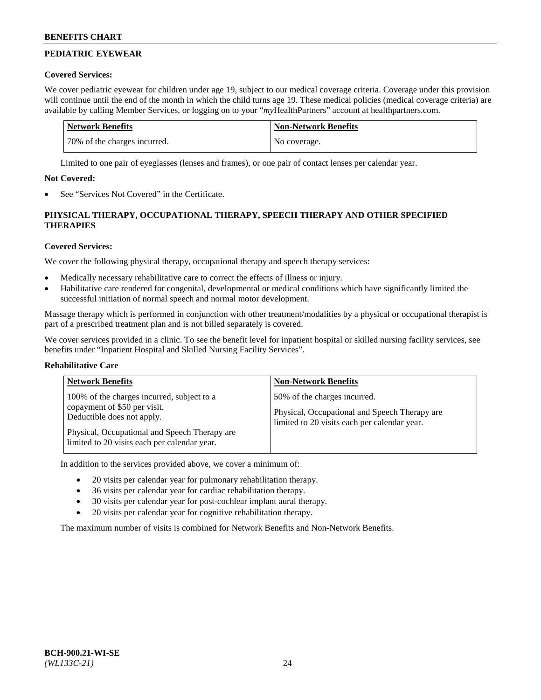# **PEDIATRIC EYEWEAR**

# **Covered Services:**

We cover pediatric eyewear for children under age 19, subject to our medical coverage criteria. Coverage under this provision will continue until the end of the month in which the child turns age 19. These medical policies (medical coverage criteria) are available by calling Member Services, or logging on to your "*my*HealthPartners" account a[t healthpartners.com.](https://www.healthpartners.com/hp/index.html)

| Network Benefits             | <b>Non-Network Benefits</b> |
|------------------------------|-----------------------------|
| 70% of the charges incurred. | No coverage.                |

Limited to one pair of eyeglasses (lenses and frames), or one pair of contact lenses per calendar year.

# **Not Covered:**

See "Services Not Covered" in the Certificate.

# **PHYSICAL THERAPY, OCCUPATIONAL THERAPY, SPEECH THERAPY AND OTHER SPECIFIED THERAPIES**

# **Covered Services:**

We cover the following physical therapy, occupational therapy and speech therapy services:

- Medically necessary rehabilitative care to correct the effects of illness or injury.
- Habilitative care rendered for congenital, developmental or medical conditions which have significantly limited the successful initiation of normal speech and normal motor development.

Massage therapy which is performed in conjunction with other treatment/modalities by a physical or occupational therapist is part of a prescribed treatment plan and is not billed separately is covered.

We cover services provided in a clinic. To see the benefit level for inpatient hospital or skilled nursing facility services, see benefits under "Inpatient Hospital and Skilled Nursing Facility Services".

# **Rehabilitative Care**

| <b>Network Benefits</b>                                                                                                                                                                                   | <b>Non-Network Benefits</b>                                                                                                   |
|-----------------------------------------------------------------------------------------------------------------------------------------------------------------------------------------------------------|-------------------------------------------------------------------------------------------------------------------------------|
| 100% of the charges incurred, subject to a<br>copayment of \$50 per visit.<br>Deductible does not apply.<br>Physical, Occupational and Speech Therapy are<br>limited to 20 visits each per calendar year. | 50% of the charges incurred.<br>Physical, Occupational and Speech Therapy are<br>limited to 20 visits each per calendar year. |

In addition to the services provided above, we cover a minimum of:

- 20 visits per calendar year for pulmonary rehabilitation therapy.
- 36 visits per calendar year for cardiac rehabilitation therapy.
- 30 visits per calendar year for post-cochlear implant aural therapy.
- 20 visits per calendar year for cognitive rehabilitation therapy.

The maximum number of visits is combined for Network Benefits and Non-Network Benefits.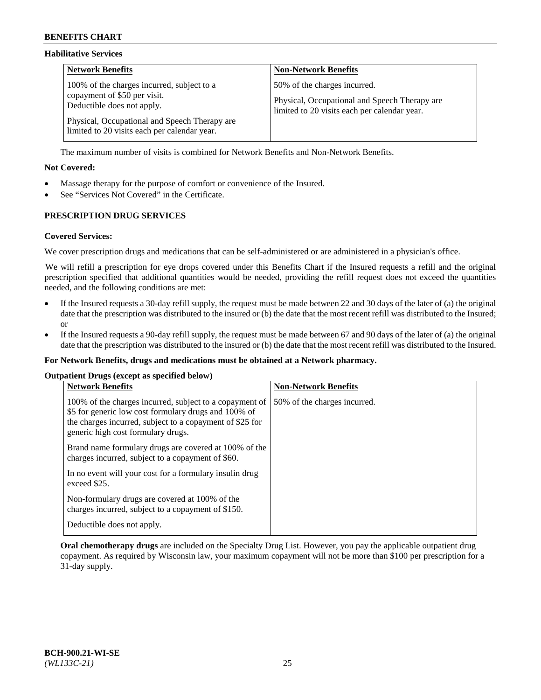### **Habilitative Services**

| <b>Network Benefits</b>                                                                                                                                                                                   | <b>Non-Network Benefits</b>                                                                                                   |
|-----------------------------------------------------------------------------------------------------------------------------------------------------------------------------------------------------------|-------------------------------------------------------------------------------------------------------------------------------|
| 100% of the charges incurred, subject to a<br>copayment of \$50 per visit.<br>Deductible does not apply.<br>Physical, Occupational and Speech Therapy are<br>limited to 20 visits each per calendar year. | 50% of the charges incurred.<br>Physical, Occupational and Speech Therapy are<br>limited to 20 visits each per calendar year. |

The maximum number of visits is combined for Network Benefits and Non-Network Benefits.

# **Not Covered:**

- Massage therapy for the purpose of comfort or convenience of the Insured.
- See "Services Not Covered" in the Certificate.

# **PRESCRIPTION DRUG SERVICES**

### **Covered Services:**

We cover prescription drugs and medications that can be self-administered or are administered in a physician's office.

We will refill a prescription for eye drops covered under this Benefits Chart if the Insured requests a refill and the original prescription specified that additional quantities would be needed, providing the refill request does not exceed the quantities needed, and the following conditions are met:

- If the Insured requests a 30-day refill supply, the request must be made between 22 and 30 days of the later of (a) the original date that the prescription was distributed to the insured or (b) the date that the most recent refill was distributed to the Insured; or
- If the Insured requests a 90-day refill supply, the request must be made between 67 and 90 days of the later of (a) the original date that the prescription was distributed to the insured or (b) the date that the most recent refill was distributed to the Insured.

#### **For Network Benefits, drugs and medications must be obtained at a Network pharmacy.**

#### **Outpatient Drugs (except as specified below)**

| <b>Network Benefits</b>                                                                                                                                                                                           | <b>Non-Network Benefits</b>  |
|-------------------------------------------------------------------------------------------------------------------------------------------------------------------------------------------------------------------|------------------------------|
| 100% of the charges incurred, subject to a copayment of<br>\$5 for generic low cost formulary drugs and 100% of<br>the charges incurred, subject to a copayment of \$25 for<br>generic high cost formulary drugs. | 50% of the charges incurred. |
| Brand name formulary drugs are covered at 100% of the<br>charges incurred, subject to a copayment of \$60.                                                                                                        |                              |
| In no event will your cost for a formulary insulin drug<br>exceed \$25.                                                                                                                                           |                              |
| Non-formulary drugs are covered at 100% of the<br>charges incurred, subject to a copayment of \$150.                                                                                                              |                              |
| Deductible does not apply.                                                                                                                                                                                        |                              |

**Oral chemotherapy drugs** are included on the Specialty Drug List. However, you pay the applicable outpatient drug copayment. As required by Wisconsin law, your maximum copayment will not be more than \$100 per prescription for a 31-day supply.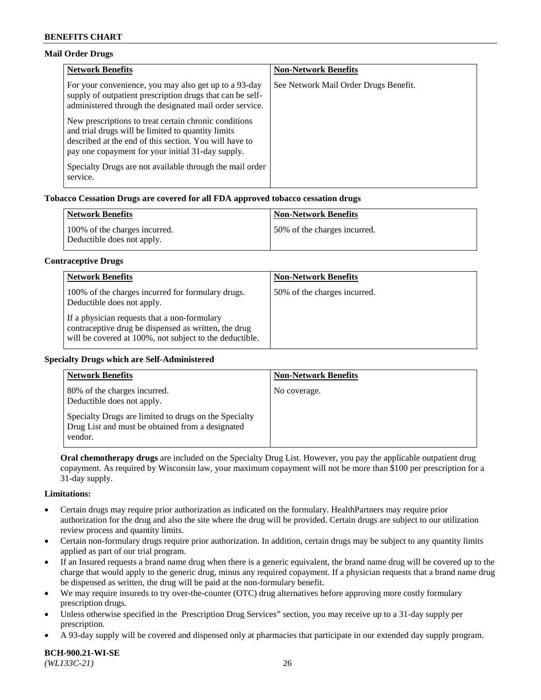### **Mail Order Drugs**

| <b>Network Benefits</b>                                                                                                                                                                                                    | <b>Non-Network Benefits</b>           |
|----------------------------------------------------------------------------------------------------------------------------------------------------------------------------------------------------------------------------|---------------------------------------|
| For your convenience, you may also get up to a 93-day<br>supply of outpatient prescription drugs that can be self-<br>administered through the designated mail order service.                                              | See Network Mail Order Drugs Benefit. |
| New prescriptions to treat certain chronic conditions<br>and trial drugs will be limited to quantity limits<br>described at the end of this section. You will have to<br>pay one copayment for your initial 31-day supply. |                                       |
| Specialty Drugs are not available through the mail order<br>service.                                                                                                                                                       |                                       |

# **Tobacco Cessation Drugs are covered for all FDA approved tobacco cessation drugs**

| <b>Network Benefits</b>                                     | <b>Non-Network Benefits</b>  |
|-------------------------------------------------------------|------------------------------|
| 100% of the charges incurred.<br>Deductible does not apply. | 50% of the charges incurred. |

#### **Contraceptive Drugs**

| <b>Network Benefits</b>                                                                                                                                         | <b>Non-Network Benefits</b>  |
|-----------------------------------------------------------------------------------------------------------------------------------------------------------------|------------------------------|
| 100% of the charges incurred for formulary drugs.<br>Deductible does not apply.                                                                                 | 50% of the charges incurred. |
| If a physician requests that a non-formulary<br>contraceptive drug be dispensed as written, the drug<br>will be covered at 100%, not subject to the deductible. |                              |

#### **Specialty Drugs which are Self-Administered**

| <b>Network Benefits</b>                                                                                              | <b>Non-Network Benefits</b> |
|----------------------------------------------------------------------------------------------------------------------|-----------------------------|
| 80% of the charges incurred.<br>Deductible does not apply.                                                           | No coverage.                |
| Specialty Drugs are limited to drugs on the Specialty<br>Drug List and must be obtained from a designated<br>vendor. |                             |

**Oral chemotherapy drugs** are included on the Specialty Drug List. However, you pay the applicable outpatient drug copayment. As required by Wisconsin law, your maximum copayment will not be more than \$100 per prescription for a 31-day supply.

#### **Limitations:**

- Certain drugs may require prior authorization as indicated on the formulary. HealthPartners may require prior authorization for the drug and also the site where the drug will be provided. Certain drugs are subject to our utilization review process and quantity limits.
- Certain non-formulary drugs require prior authorization. In addition, certain drugs may be subject to any quantity limits applied as part of our trial program.
- If an Insured requests a brand name drug when there is a generic equivalent, the brand name drug will be covered up to the charge that would apply to the generic drug, minus any required copayment. If a physician requests that a brand name drug be dispensed as written, the drug will be paid at the non-formulary benefit.
- We may require insureds to try over-the-counter (OTC) drug alternatives before approving more costly formulary prescription drugs.
- Unless otherwise specified in the Prescription Drug Services" section, you may receive up to a 31-day supply per prescription.
- A 93-day supply will be covered and dispensed only at pharmacies that participate in our extended day supply program.

**BCH-900.21-WI-SE**  *(WL133C-21)* 26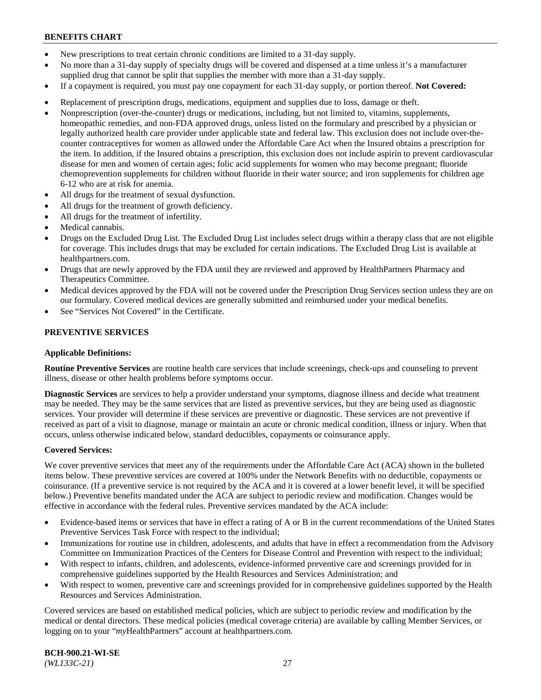- New prescriptions to treat certain chronic conditions are limited to a 31-day supply.
- No more than a 31-day supply of specialty drugs will be covered and dispensed at a time unless it's a manufacturer supplied drug that cannot be split that supplies the member with more than a 31-day supply.
- If a copayment is required, you must pay one copayment for each 31-day supply, or portion thereof. **Not Covered:**
- Replacement of prescription drugs, medications, equipment and supplies due to loss, damage or theft.
- Nonprescription (over-the-counter) drugs or medications, including, but not limited to, vitamins, supplements, homeopathic remedies, and non-FDA approved drugs, unless listed on the formulary and prescribed by a physician or legally authorized health care provider under applicable state and federal law. This exclusion does not include over-thecounter contraceptives for women as allowed under the Affordable Care Act when the Insured obtains a prescription for the item. In addition, if the Insured obtains a prescription, this exclusion does not include aspirin to prevent cardiovascular disease for men and women of certain ages; folic acid supplements for women who may become pregnant; fluoride chemoprevention supplements for children without fluoride in their water source; and iron supplements for children age 6-12 who are at risk for anemia.
- All drugs for the treatment of sexual dysfunction.
- All drugs for the treatment of growth deficiency.
- All drugs for the treatment of infertility.
- Medical cannabis.
- Drugs on the Excluded Drug List. The Excluded Drug List includes select drugs within a therapy class that are not eligible for coverage. This includes drugs that may be excluded for certain indications. The Excluded Drug List is available at [healthpartners.com.](http://www.healthpartners.com/)
- Drugs that are newly approved by the FDA until they are reviewed and approved by HealthPartners Pharmacy and Therapeutics Committee.
- Medical devices approved by the FDA will not be covered under the Prescription Drug Services section unless they are on our formulary. Covered medical devices are generally submitted and reimbursed under your medical benefits.
- See "Services Not Covered" in the Certificate.

# **PREVENTIVE SERVICES**

#### **Applicable Definitions:**

**Routine Preventive Services** are routine health care services that include screenings, check-ups and counseling to prevent illness, disease or other health problems before symptoms occur.

**Diagnostic Services** are services to help a provider understand your symptoms, diagnose illness and decide what treatment may be needed. They may be the same services that are listed as preventive services, but they are being used as diagnostic services. Your provider will determine if these services are preventive or diagnostic. These services are not preventive if received as part of a visit to diagnose, manage or maintain an acute or chronic medical condition, illness or injury. When that occurs, unless otherwise indicated below, standard deductibles, copayments or coinsurance apply.

#### **Covered Services:**

We cover preventive services that meet any of the requirements under the Affordable Care Act (ACA) shown in the bulleted items below. These preventive services are covered at 100% under the Network Benefits with no deductible, copayments or coinsurance. (If a preventive service is not required by the ACA and it is covered at a lower benefit level, it will be specified below.) Preventive benefits mandated under the ACA are subject to periodic review and modification. Changes would be effective in accordance with the federal rules. Preventive services mandated by the ACA include:

- Evidence-based items or services that have in effect a rating of A or B in the current recommendations of the United States Preventive Services Task Force with respect to the individual;
- Immunizations for routine use in children, adolescents, and adults that have in effect a recommendation from the Advisory Committee on Immunization Practices of the Centers for Disease Control and Prevention with respect to the individual;
- With respect to infants, children, and adolescents, evidence-informed preventive care and screenings provided for in comprehensive guidelines supported by the Health Resources and Services Administration; and
- With respect to women, preventive care and screenings provided for in comprehensive guidelines supported by the Health Resources and Services Administration.

Covered services are based on established medical policies, which are subject to periodic review and modification by the medical or dental directors. These medical policies (medical coverage criteria) are available by calling Member Services, or logging on to your "*my*HealthPartners" account at [healthpartners.com.](https://www.healthpartners.com/hp/index.html)

**BCH-900.21-WI-SE**  *(WL133C-21)* 27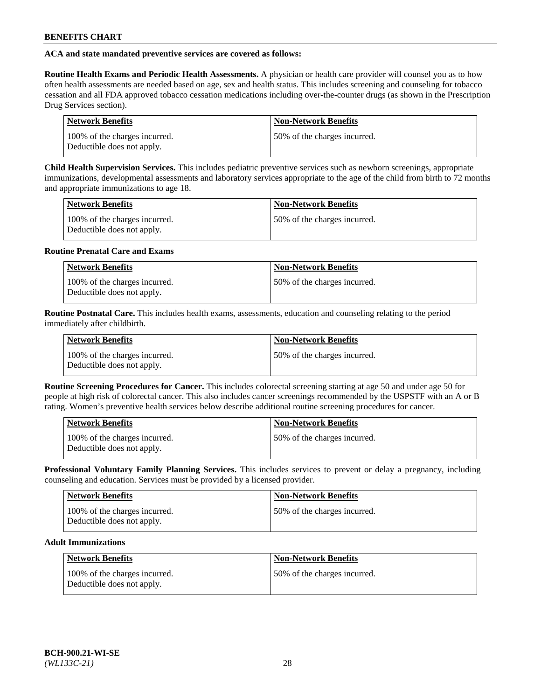# **ACA and state mandated preventive services are covered as follows:**

**Routine Health Exams and Periodic Health Assessments.** A physician or health care provider will counsel you as to how often health assessments are needed based on age, sex and health status. This includes screening and counseling for tobacco cessation and all FDA approved tobacco cessation medications including over-the-counter drugs (as shown in the Prescription Drug Services section).

| Network Benefits                                            | <b>Non-Network Benefits</b>  |
|-------------------------------------------------------------|------------------------------|
| 100% of the charges incurred.<br>Deductible does not apply. | 50% of the charges incurred. |

**Child Health Supervision Services.** This includes pediatric preventive services such as newborn screenings, appropriate immunizations, developmental assessments and laboratory services appropriate to the age of the child from birth to 72 months and appropriate immunizations to age 18.

| <b>Network Benefits</b>                                     | <b>Non-Network Benefits</b>  |
|-------------------------------------------------------------|------------------------------|
| 100% of the charges incurred.<br>Deductible does not apply. | 50% of the charges incurred. |

### **Routine Prenatal Care and Exams**

| <b>Network Benefits</b>                                     | <b>Non-Network Benefits</b>   |
|-------------------------------------------------------------|-------------------------------|
| 100% of the charges incurred.<br>Deductible does not apply. | 150% of the charges incurred. |

**Routine Postnatal Care.** This includes health exams, assessments, education and counseling relating to the period immediately after childbirth.

| <b>Network Benefits</b>                                     | <b>Non-Network Benefits</b>  |
|-------------------------------------------------------------|------------------------------|
| 100% of the charges incurred.<br>Deductible does not apply. | 50% of the charges incurred. |

**Routine Screening Procedures for Cancer.** This includes colorectal screening starting at age 50 and under age 50 for people at high risk of colorectal cancer. This also includes cancer screenings recommended by the USPSTF with an A or B rating. Women's preventive health services below describe additional routine screening procedures for cancer.

| Network Benefits                                            | <b>Non-Network Benefits</b>  |
|-------------------------------------------------------------|------------------------------|
| 100% of the charges incurred.<br>Deductible does not apply. | 50% of the charges incurred. |

**Professional Voluntary Family Planning Services.** This includes services to prevent or delay a pregnancy, including counseling and education. Services must be provided by a licensed provider.

| Network Benefits                                            | <b>Non-Network Benefits</b>  |
|-------------------------------------------------------------|------------------------------|
| 100% of the charges incurred.<br>Deductible does not apply. | 50% of the charges incurred. |

# **Adult Immunizations**

| <b>Network Benefits</b>                                     | Non-Network Benefits         |
|-------------------------------------------------------------|------------------------------|
| 100% of the charges incurred.<br>Deductible does not apply. | 50% of the charges incurred. |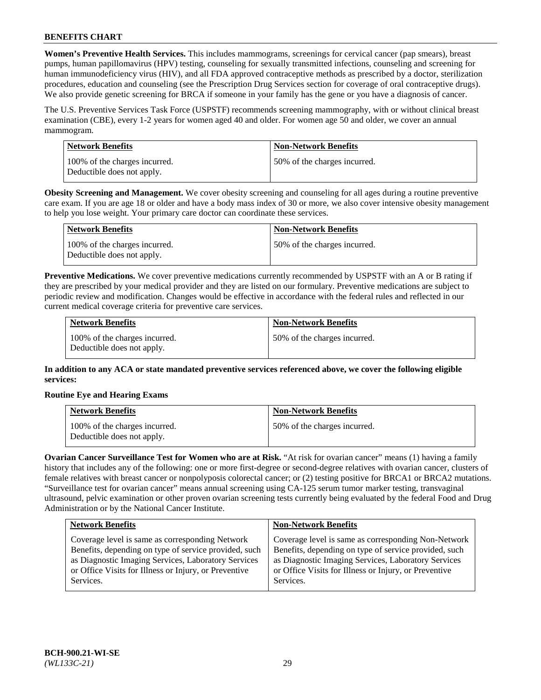**Women's Preventive Health Services.** This includes mammograms, screenings for cervical cancer (pap smears), breast pumps, human papillomavirus (HPV) testing, counseling for sexually transmitted infections, counseling and screening for human immunodeficiency virus (HIV), and all FDA approved contraceptive methods as prescribed by a doctor, sterilization procedures, education and counseling (see the Prescription Drug Services section for coverage of oral contraceptive drugs). We also provide genetic screening for BRCA if someone in your family has the gene or you have a diagnosis of cancer.

The U.S. Preventive Services Task Force (USPSTF) recommends screening mammography, with or without clinical breast examination (CBE), every 1-2 years for women aged 40 and older. For women age 50 and older, we cover an annual mammogram.

| Network Benefits                                            | <b>Non-Network Benefits</b>  |
|-------------------------------------------------------------|------------------------------|
| 100% of the charges incurred.<br>Deductible does not apply. | 50% of the charges incurred. |

**Obesity Screening and Management.** We cover obesity screening and counseling for all ages during a routine preventive care exam. If you are age 18 or older and have a body mass index of 30 or more, we also cover intensive obesity management to help you lose weight. Your primary care doctor can coordinate these services.

| Network Benefits                                            | <b>Non-Network Benefits</b>  |
|-------------------------------------------------------------|------------------------------|
| 100% of the charges incurred.<br>Deductible does not apply. | 50% of the charges incurred. |

**Preventive Medications.** We cover preventive medications currently recommended by USPSTF with an A or B rating if they are prescribed by your medical provider and they are listed on our formulary. Preventive medications are subject to periodic review and modification. Changes would be effective in accordance with the federal rules and reflected in our current medical coverage criteria for preventive care services.

| <b>Network Benefits</b>                                     | <b>Non-Network Benefits</b>  |
|-------------------------------------------------------------|------------------------------|
| 100% of the charges incurred.<br>Deductible does not apply. | 50% of the charges incurred. |

**In addition to any ACA or state mandated preventive services referenced above, we cover the following eligible services:**

# **Routine Eye and Hearing Exams**

| <b>Network Benefits</b>                                     | <b>Non-Network Benefits</b>  |
|-------------------------------------------------------------|------------------------------|
| 100% of the charges incurred.<br>Deductible does not apply. | 50% of the charges incurred. |

**Ovarian Cancer Surveillance Test for Women who are at Risk.** "At risk for ovarian cancer" means (1) having a family history that includes any of the following: one or more first-degree or second-degree relatives with ovarian cancer, clusters of female relatives with breast cancer or nonpolyposis colorectal cancer; or (2) testing positive for BRCA1 or BRCA2 mutations. "Surveillance test for ovarian cancer" means annual screening using CA-125 serum tumor marker testing, transvaginal ultrasound, pelvic examination or other proven ovarian screening tests currently being evaluated by the federal Food and Drug Administration or by the National Cancer Institute.

| <b>Network Benefits</b>                               | <b>Non-Network Benefits</b>                           |
|-------------------------------------------------------|-------------------------------------------------------|
| Coverage level is same as corresponding Network       | Coverage level is same as corresponding Non-Network   |
| Benefits, depending on type of service provided, such | Benefits, depending on type of service provided, such |
| as Diagnostic Imaging Services, Laboratory Services   | as Diagnostic Imaging Services, Laboratory Services   |
| or Office Visits for Illness or Injury, or Preventive | or Office Visits for Illness or Injury, or Preventive |
| Services.                                             | Services.                                             |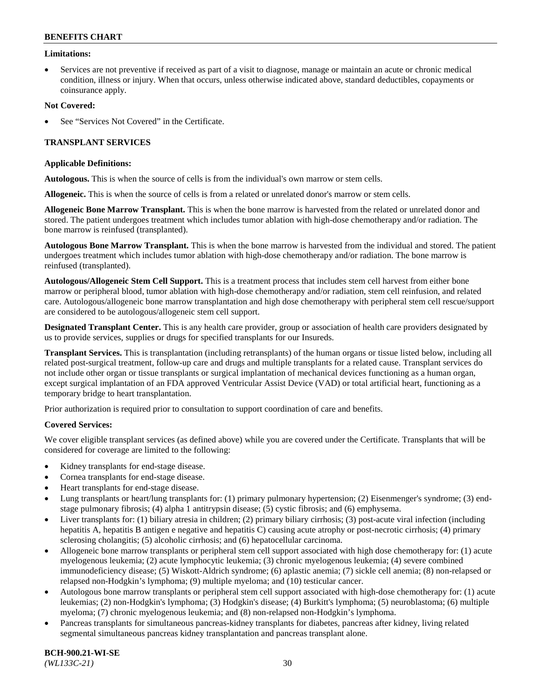### **Limitations:**

• Services are not preventive if received as part of a visit to diagnose, manage or maintain an acute or chronic medical condition, illness or injury. When that occurs, unless otherwise indicated above, standard deductibles, copayments or coinsurance apply.

### **Not Covered:**

See "Services Not Covered" in the Certificate.

# **TRANSPLANT SERVICES**

### **Applicable Definitions:**

**Autologous.** This is when the source of cells is from the individual's own marrow or stem cells.

**Allogeneic.** This is when the source of cells is from a related or unrelated donor's marrow or stem cells.

**Allogeneic Bone Marrow Transplant.** This is when the bone marrow is harvested from the related or unrelated donor and stored. The patient undergoes treatment which includes tumor ablation with high-dose chemotherapy and/or radiation. The bone marrow is reinfused (transplanted).

**Autologous Bone Marrow Transplant.** This is when the bone marrow is harvested from the individual and stored. The patient undergoes treatment which includes tumor ablation with high-dose chemotherapy and/or radiation. The bone marrow is reinfused (transplanted).

**Autologous/Allogeneic Stem Cell Support.** This is a treatment process that includes stem cell harvest from either bone marrow or peripheral blood, tumor ablation with high-dose chemotherapy and/or radiation, stem cell reinfusion, and related care. Autologous/allogeneic bone marrow transplantation and high dose chemotherapy with peripheral stem cell rescue/support are considered to be autologous/allogeneic stem cell support.

**Designated Transplant Center.** This is any health care provider, group or association of health care providers designated by us to provide services, supplies or drugs for specified transplants for our Insureds.

**Transplant Services.** This is transplantation (including retransplants) of the human organs or tissue listed below, including all related post-surgical treatment, follow-up care and drugs and multiple transplants for a related cause. Transplant services do not include other organ or tissue transplants or surgical implantation of mechanical devices functioning as a human organ, except surgical implantation of an FDA approved Ventricular Assist Device (VAD) or total artificial heart, functioning as a temporary bridge to heart transplantation.

Prior authorization is required prior to consultation to support coordination of care and benefits.

# **Covered Services:**

We cover eligible transplant services (as defined above) while you are covered under the Certificate. Transplants that will be considered for coverage are limited to the following:

- Kidney transplants for end-stage disease.
- Cornea transplants for end-stage disease.
- Heart transplants for end-stage disease.
- Lung transplants or heart/lung transplants for: (1) primary pulmonary hypertension; (2) Eisenmenger's syndrome; (3) endstage pulmonary fibrosis; (4) alpha 1 antitrypsin disease; (5) cystic fibrosis; and (6) emphysema.
- Liver transplants for: (1) biliary atresia in children; (2) primary biliary cirrhosis; (3) post-acute viral infection (including hepatitis A, hepatitis B antigen e negative and hepatitis C) causing acute atrophy or post-necrotic cirrhosis; (4) primary sclerosing cholangitis; (5) alcoholic cirrhosis; and (6) hepatocellular carcinoma.
- Allogeneic bone marrow transplants or peripheral stem cell support associated with high dose chemotherapy for: (1) acute myelogenous leukemia; (2) acute lymphocytic leukemia; (3) chronic myelogenous leukemia; (4) severe combined immunodeficiency disease; (5) Wiskott-Aldrich syndrome; (6) aplastic anemia; (7) sickle cell anemia; (8) non-relapsed or relapsed non-Hodgkin's lymphoma; (9) multiple myeloma; and (10) testicular cancer.
- Autologous bone marrow transplants or peripheral stem cell support associated with high-dose chemotherapy for: (1) acute leukemias; (2) non-Hodgkin's lymphoma; (3) Hodgkin's disease; (4) Burkitt's lymphoma; (5) neuroblastoma; (6) multiple myeloma; (7) chronic myelogenous leukemia; and (8) non-relapsed non-Hodgkin's lymphoma.
- Pancreas transplants for simultaneous pancreas-kidney transplants for diabetes, pancreas after kidney, living related segmental simultaneous pancreas kidney transplantation and pancreas transplant alone.